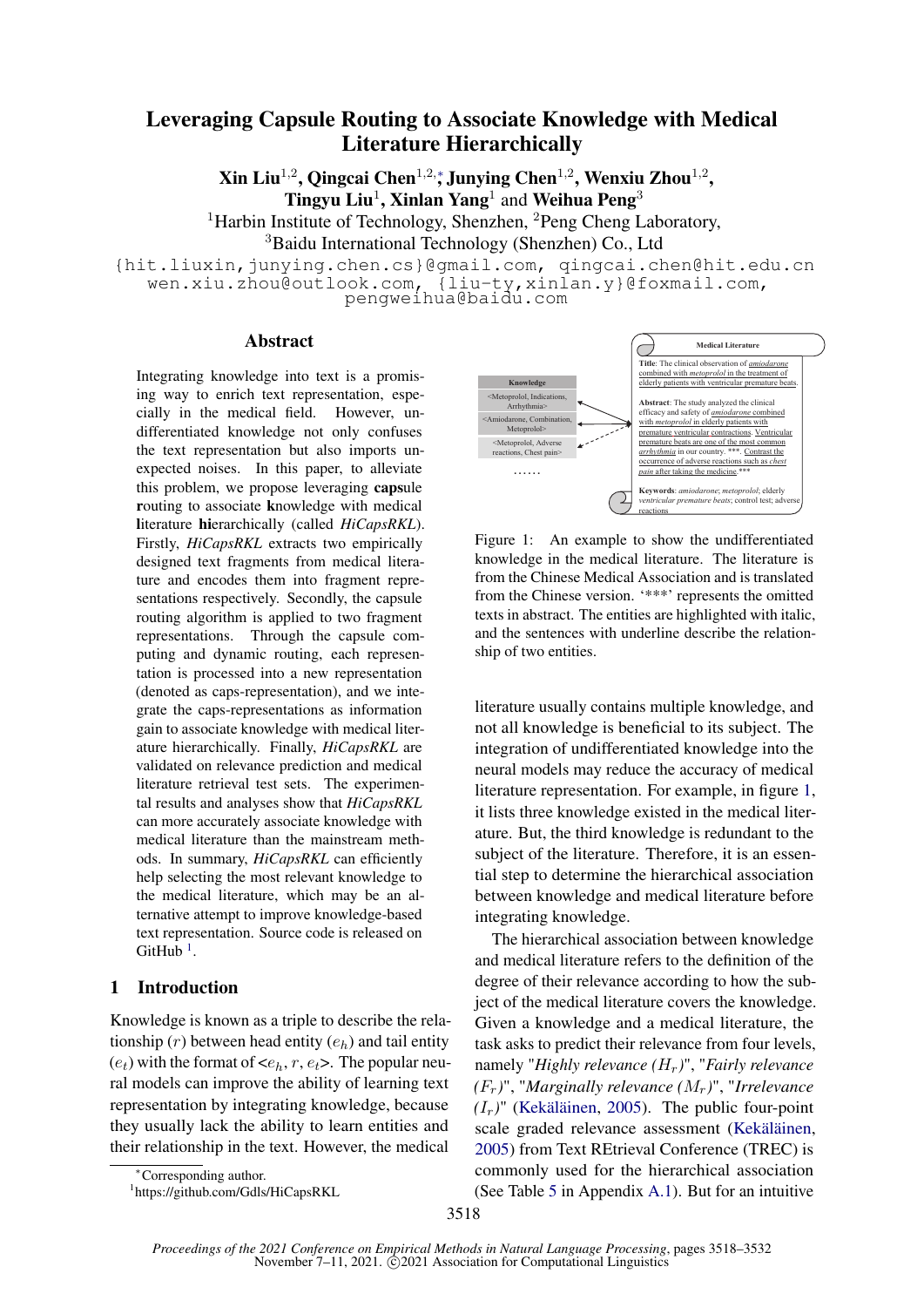# Leveraging Capsule Routing to Associate Knowledge with Medical Literature Hierarchically

Xin Liu<sup>1,2</sup>, Qingcai Chen<sup>1,2,</sup>\*, Junying Chen<sup>1,2</sup>, Wenxiu Zhou<sup>1,2</sup>, Tingyu Liu<sup>1</sup>, Xinlan Yang<sup>1</sup> and Weihua Peng<sup>3</sup> <sup>1</sup>Harbin Institute of Technology, Shenzhen, <sup>2</sup>Peng Cheng Laboratory, <sup>3</sup>Baidu International Technology (Shenzhen) Co., Ltd

{hit.liuxin,junying.chen.cs}@gmail.com, qingcai.chen@hit.edu.cn wen.xiu.zhou@outlook.com, {liu-ty,xinlan.y}@foxmail.com, pengweihua@baidu.com

### Abstract

Integrating knowledge into text is a promising way to enrich text representation, especially in the medical field. However, undifferentiated knowledge not only confuses the text representation but also imports unexpected noises. In this paper, to alleviate this problem, we propose leveraging capsule routing to associate knowledge with medical literature hierarchically (called *HiCapsRKL*). Firstly, *HiCapsRKL* extracts two empirically designed text fragments from medical literature and encodes them into fragment representations respectively. Secondly, the capsule routing algorithm is applied to two fragment representations. Through the capsule computing and dynamic routing, each representation is processed into a new representation (denoted as caps-representation), and we integrate the caps-representations as information gain to associate knowledge with medical literature hierarchically. Finally, *HiCapsRKL* are validated on relevance prediction and medical literature retrieval test sets. The experimental results and analyses show that *HiCapsRKL* can more accurately associate knowledge with medical literature than the mainstream methods. In summary, *HiCapsRKL* can efficiently help selecting the most relevant knowledge to the medical literature, which may be an alternative attempt to improve knowledge-based text representation. Source code is released on  $G$ itHub<sup>[1](#page-0-0)</sup>.

# 1 Introduction

Knowledge is known as a triple to describe the relationship  $(r)$  between head entity  $(e_h)$  and tail entity  $(e_t)$  with the format of  $\langle e_h, r, e_t \rangle$ . The popular neural models can improve the ability of learning text representation by integrating knowledge, because they usually lack the ability to learn entities and their relationship in the text. However, the medical

<span id="page-0-1"></span>

Figure 1: An example to show the undifferentiated knowledge in the medical literature. The literature is from the Chinese Medical Association and is translated from the Chinese version. '\*\*\*' represents the omitted texts in abstract. The entities are highlighted with italic, and the sentences with underline describe the relationship of two entities.

literature usually contains multiple knowledge, and not all knowledge is beneficial to its subject. The integration of undifferentiated knowledge into the neural models may reduce the accuracy of medical literature representation. For example, in figure [1,](#page-0-1) it lists three knowledge existed in the medical literature. But, the third knowledge is redundant to the subject of the literature. Therefore, it is an essential step to determine the hierarchical association between knowledge and medical literature before integrating knowledge.

The hierarchical association between knowledge and medical literature refers to the definition of the degree of their relevance according to how the subject of the medical literature covers the knowledge. Given a knowledge and a medical literature, the task asks to predict their relevance from four levels, namely "*Highly relevance (*Hr*)*", "*Fairly relevance*  $(F_r)$ ", "*Marginally relevance*  $(M_r)$ ", "*Irrelevance*  $(I_r)$ " [\(Kekäläinen,](#page-9-0) [2005\)](#page-9-0). The public four-point scale graded relevance assessment [\(Kekäläinen,](#page-9-0) [2005\)](#page-9-0) from Text REtrieval Conference (TREC) is commonly used for the hierarchical association (See Table [5](#page-13-0) in Appendix [A.1\)](#page-12-0). But for an intuitive

<sup>∗</sup>Corresponding author.

<span id="page-0-0"></span><sup>1</sup> https://github.com/Gdls/HiCapsRKL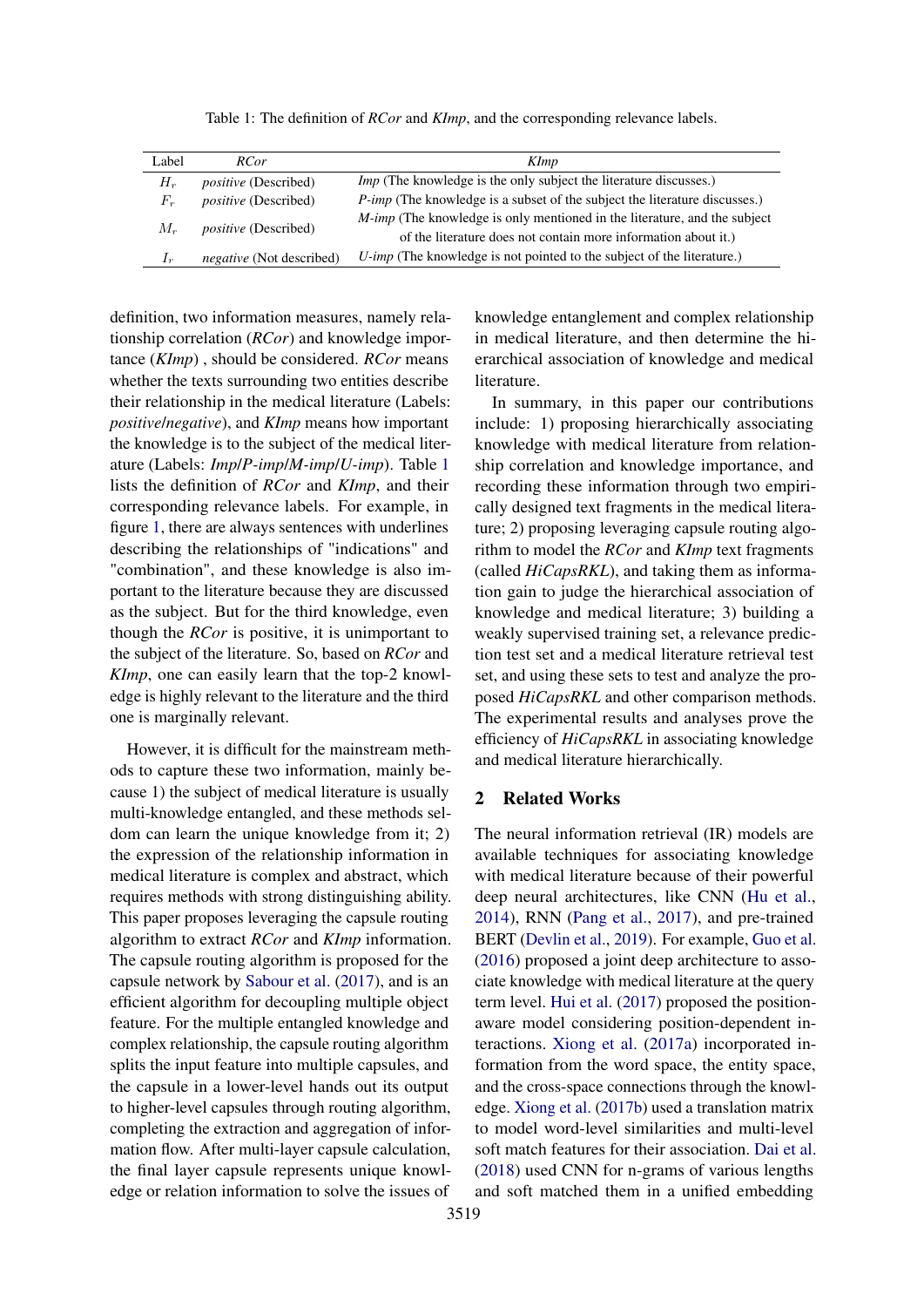<span id="page-1-0"></span>

| Label          | RC <sub>or</sub>                | <b>KImp</b>                                                                                                                                        |
|----------------|---------------------------------|----------------------------------------------------------------------------------------------------------------------------------------------------|
| $H_r$          | <i>positive</i> (Described)     | <i>Imp</i> (The knowledge is the only subject the literature discusses.)                                                                           |
| $F_r$          | <i>positive</i> (Described)     | <i>P-imp</i> (The knowledge is a subset of the subject the literature discusses.)                                                                  |
| $M_r$          | <i>positive</i> (Described)     | <i>M-imp</i> (The knowledge is only mentioned in the literature, and the subject<br>of the literature does not contain more information about it.) |
| 1 <sub>r</sub> | <i>negative</i> (Not described) | $U$ -imp (The knowledge is not pointed to the subject of the literature.)                                                                          |

Table 1: The definition of *RCor* and *KImp*, and the corresponding relevance labels.

definition, two information measures, namely relationship correlation (*RCor*) and knowledge importance (*KImp*) , should be considered. *RCor* means whether the texts surrounding two entities describe their relationship in the medical literature (Labels: *positive*/*negative*), and *KImp* means how important the knowledge is to the subject of the medical literature (Labels: *Imp*/*P-imp*/*M-imp*/*U-imp*). Table [1](#page-1-0) lists the definition of *RCor* and *KImp*, and their corresponding relevance labels. For example, in figure [1,](#page-0-1) there are always sentences with underlines describing the relationships of "indications" and "combination", and these knowledge is also important to the literature because they are discussed as the subject. But for the third knowledge, even though the *RCor* is positive, it is unimportant to the subject of the literature. So, based on *RCor* and *KImp*, one can easily learn that the top-2 knowledge is highly relevant to the literature and the third one is marginally relevant.

However, it is difficult for the mainstream methods to capture these two information, mainly because 1) the subject of medical literature is usually multi-knowledge entangled, and these methods seldom can learn the unique knowledge from it; 2) the expression of the relationship information in medical literature is complex and abstract, which requires methods with strong distinguishing ability. This paper proposes leveraging the capsule routing algorithm to extract *RCor* and *KImp* information. The capsule routing algorithm is proposed for the capsule network by [Sabour et al.](#page-10-0) [\(2017\)](#page-10-0), and is an efficient algorithm for decoupling multiple object feature. For the multiple entangled knowledge and complex relationship, the capsule routing algorithm splits the input feature into multiple capsules, and the capsule in a lower-level hands out its output to higher-level capsules through routing algorithm, completing the extraction and aggregation of information flow. After multi-layer capsule calculation, the final layer capsule represents unique knowledge or relation information to solve the issues of

knowledge entanglement and complex relationship in medical literature, and then determine the hierarchical association of knowledge and medical literature.

In summary, in this paper our contributions include: 1) proposing hierarchically associating knowledge with medical literature from relationship correlation and knowledge importance, and recording these information through two empirically designed text fragments in the medical literature; 2) proposing leveraging capsule routing algorithm to model the *RCor* and *KImp* text fragments (called *HiCapsRKL*), and taking them as information gain to judge the hierarchical association of knowledge and medical literature; 3) building a weakly supervised training set, a relevance prediction test set and a medical literature retrieval test set, and using these sets to test and analyze the proposed *HiCapsRKL* and other comparison methods. The experimental results and analyses prove the efficiency of *HiCapsRKL* in associating knowledge and medical literature hierarchically.

# 2 Related Works

The neural information retrieval (IR) models are available techniques for associating knowledge with medical literature because of their powerful deep neural architectures, like CNN [\(Hu et al.,](#page-9-1) [2014\)](#page-9-1), RNN [\(Pang et al.,](#page-10-1) [2017\)](#page-10-1), and pre-trained BERT [\(Devlin et al.,](#page-8-0) [2019\)](#page-8-0). For example, [Guo et al.](#page-9-2) [\(2016\)](#page-9-2) proposed a joint deep architecture to associate knowledge with medical literature at the query term level. [Hui et al.](#page-9-3) [\(2017\)](#page-9-3) proposed the positionaware model considering position-dependent interactions. [Xiong et al.](#page-10-2) [\(2017a\)](#page-10-2) incorporated information from the word space, the entity space, and the cross-space connections through the knowledge. [Xiong et al.](#page-10-3) [\(2017b\)](#page-10-3) used a translation matrix to model word-level similarities and multi-level soft match features for their association. [Dai et al.](#page-8-1) [\(2018\)](#page-8-1) used CNN for n-grams of various lengths and soft matched them in a unified embedding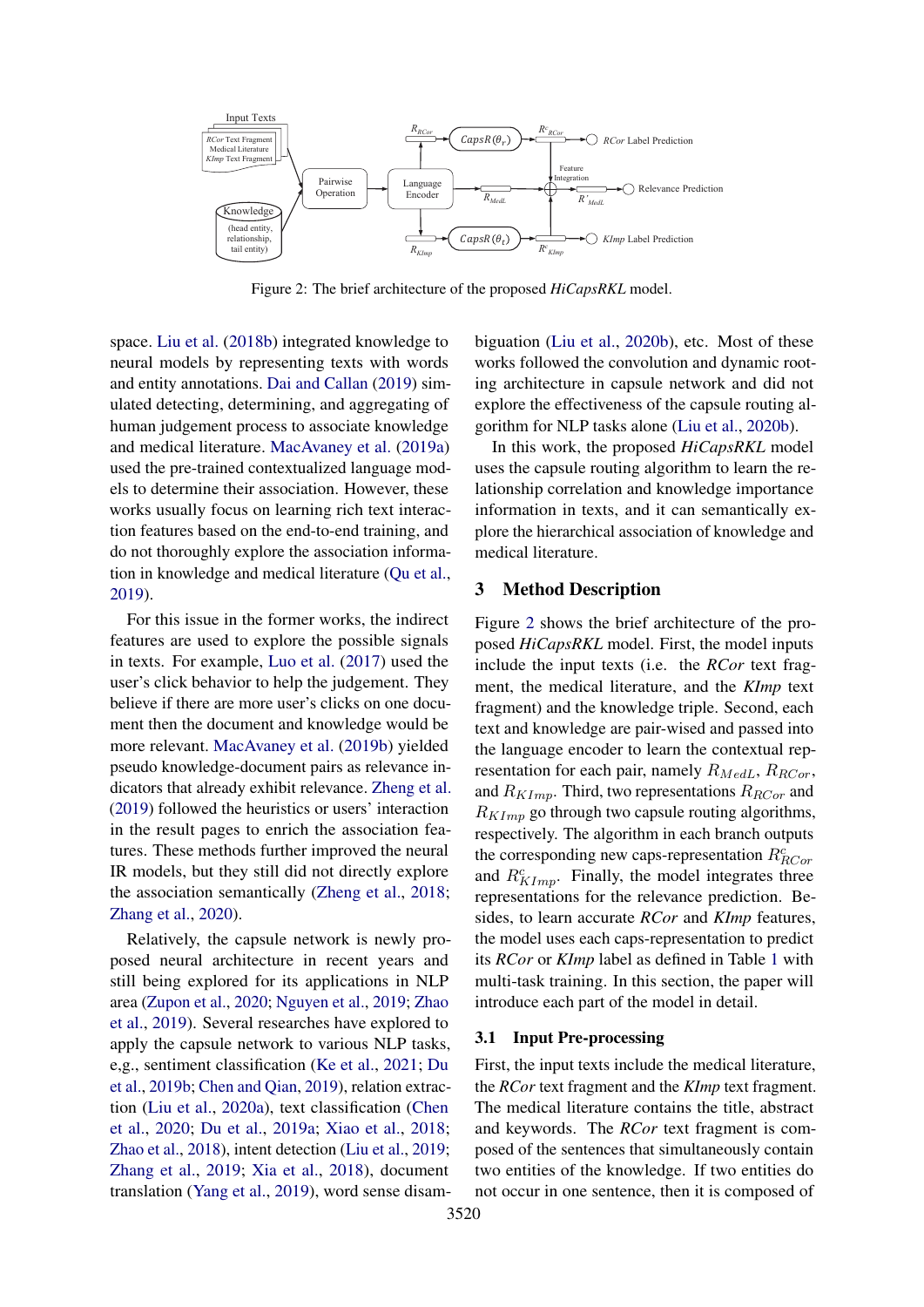<span id="page-2-0"></span>

Figure 2: The brief architecture of the proposed *HiCapsRKL* model.

space. [Liu et al.](#page-9-4) [\(2018b\)](#page-9-4) integrated knowledge to neural models by representing texts with words and entity annotations. [Dai and Callan](#page-8-2) [\(2019\)](#page-8-2) simulated detecting, determining, and aggregating of human judgement process to associate knowledge and medical literature. [MacAvaney et al.](#page-9-5) [\(2019a\)](#page-9-5) used the pre-trained contextualized language models to determine their association. However, these works usually focus on learning rich text interaction features based on the end-to-end training, and do not thoroughly explore the association information in knowledge and medical literature [\(Qu et al.,](#page-10-4) [2019\)](#page-10-4).

For this issue in the former works, the indirect features are used to explore the possible signals in texts. For example, [Luo et al.](#page-9-6) [\(2017\)](#page-9-6) used the user's click behavior to help the judgement. They believe if there are more user's clicks on one document then the document and knowledge would be more relevant. [MacAvaney et al.](#page-9-7) [\(2019b\)](#page-9-7) yielded pseudo knowledge-document pairs as relevance indicators that already exhibit relevance. [Zheng et al.](#page-11-0) [\(2019\)](#page-11-0) followed the heuristics or users' interaction in the result pages to enrich the association features. These methods further improved the neural IR models, but they still did not directly explore the association semantically [\(Zheng et al.,](#page-11-1) [2018;](#page-11-1) [Zhang et al.,](#page-10-5) [2020\)](#page-10-5).

Relatively, the capsule network is newly proposed neural architecture in recent years and still being explored for its applications in NLP area [\(Zupon et al.,](#page-11-2) [2020;](#page-11-2) [Nguyen et al.,](#page-10-6) [2019;](#page-10-6) [Zhao](#page-11-3) [et al.,](#page-11-3) [2019\)](#page-11-3). Several researches have explored to apply the capsule network to various NLP tasks, e,g., sentiment classification [\(Ke et al.,](#page-9-8) [2021;](#page-9-8) [Du](#page-9-9) [et al.,](#page-9-9) [2019b;](#page-9-9) [Chen and Qian,](#page-8-3) [2019\)](#page-8-3), relation extraction [\(Liu et al.,](#page-9-10) [2020a\)](#page-9-10), text classification [\(Chen](#page-8-4) [et al.,](#page-8-4) [2020;](#page-8-4) [Du et al.,](#page-8-5) [2019a;](#page-8-5) [Xiao et al.,](#page-10-7) [2018;](#page-10-7) [Zhao et al.,](#page-11-4) [2018\)](#page-11-4), intent detection [\(Liu et al.,](#page-9-11) [2019;](#page-9-11) [Zhang et al.,](#page-10-8) [2019;](#page-10-8) [Xia et al.,](#page-10-9) [2018\)](#page-10-9), document translation [\(Yang et al.,](#page-10-10) [2019\)](#page-10-10), word sense disambiguation [\(Liu et al.,](#page-9-12) [2020b\)](#page-9-12), etc. Most of these works followed the convolution and dynamic rooting architecture in capsule network and did not explore the effectiveness of the capsule routing algorithm for NLP tasks alone [\(Liu et al.,](#page-9-12) [2020b\)](#page-9-12).

In this work, the proposed *HiCapsRKL* model uses the capsule routing algorithm to learn the relationship correlation and knowledge importance information in texts, and it can semantically explore the hierarchical association of knowledge and medical literature.

### <span id="page-2-2"></span>3 Method Description

Figure [2](#page-2-0) shows the brief architecture of the proposed *HiCapsRKL* model. First, the model inputs include the input texts (i.e. the *RCor* text fragment, the medical literature, and the *KImp* text fragment) and the knowledge triple. Second, each text and knowledge are pair-wised and passed into the language encoder to learn the contextual representation for each pair, namely  $R_{MedL}, R_{RCor}$ , and  $R_{KImp}$ . Third, two representations  $R_{RCor}$  and  $R_{KImp}$  go through two capsule routing algorithms, respectively. The algorithm in each branch outputs the corresponding new caps-representation  $R^c_{RCor}$ and  $R_{KImp}^{c}$ . Finally, the model integrates three representations for the relevance prediction. Besides, to learn accurate *RCor* and *KImp* features, the model uses each caps-representation to predict its *RCor* or *KImp* label as defined in Table [1](#page-1-0) with multi-task training. In this section, the paper will introduce each part of the model in detail.

# <span id="page-2-1"></span>3.1 Input Pre-processing

First, the input texts include the medical literature, the *RCor* text fragment and the *KImp* text fragment. The medical literature contains the title, abstract and keywords. The *RCor* text fragment is composed of the sentences that simultaneously contain two entities of the knowledge. If two entities do not occur in one sentence, then it is composed of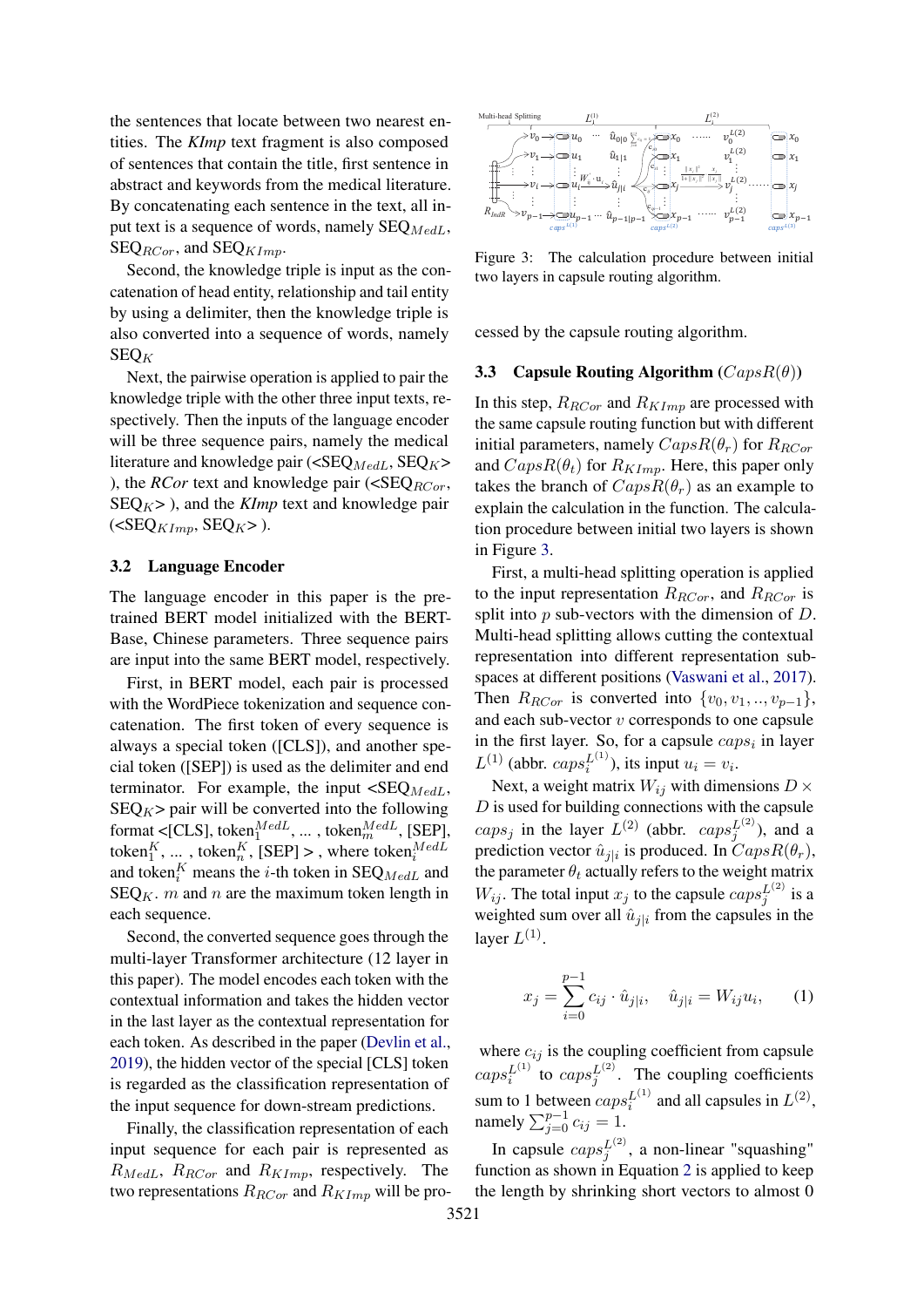the sentences that locate between two nearest entities. The *KImp* text fragment is also composed of sentences that contain the title, first sentence in abstract and keywords from the medical literature. By concatenating each sentence in the text, all input text is a sequence of words, namely  $\text{SEQ}_{MedL}$ ,  $\text{SEQ}_{RCor}$ , and  $\text{SEQ}_{KImp}$ .

Second, the knowledge triple is input as the concatenation of head entity, relationship and tail entity by using a delimiter, then the knowledge triple is also converted into a sequence of words, namely  $SEQ_K$ 

Next, the pairwise operation is applied to pair the knowledge triple with the other three input texts, respectively. Then the inputs of the language encoder will be three sequence pairs, namely the medical literature and knowledge pair ( $\langle \text{SEQ}_{MedL}, \text{SEQ}_{K} \rangle$ ), the *RCor* text and knowledge pair ( $\langle \text{SEQ}_{RCor} \rangle$ ,  $SEQ<sub>K</sub>$  ), and the *KImp* text and knowledge pair  $(*SEQ*<sub>KImp</sub>, *SEQ*<sub>K</sub>)$ .

#### 3.2 Language Encoder

The language encoder in this paper is the pretrained BERT model initialized with the BERT-Base, Chinese parameters. Three sequence pairs are input into the same BERT model, respectively.

First, in BERT model, each pair is processed with the WordPiece tokenization and sequence concatenation. The first token of every sequence is always a special token ([CLS]), and another special token ([SEP]) is used as the delimiter and end terminator. For example, the input  $\langle \text{SEQ}_{MedL},$  $SEQ_K$  pair will be converted into the following format < [CLS], token $_1^{MedL}$ , ..., token $_m^{MedL}$ , [SEP], token $_1^K$ , ..., token $_n^K$ , [SEP] >, where token $_n^{MedL}$ and token<sup>K</sup> means the *i*-th token in SEQ<sub>MedL</sub> and  $\text{SEQ}_K$ . *m* and *n* are the maximum token length in each sequence. share that vontain on each consider the test all the processes of the state of the state of the state of the state of the state of the state of the state of the state of the state of the state of the state of the state of

Second, the converted sequence goes through the multi-layer Transformer architecture (12 layer in this paper). The model encodes each token with the contextual information and takes the hidden vector in the last layer as the contextual representation for each token. As described in the paper [\(Devlin et al.,](#page-8-0) [2019\)](#page-8-0), the hidden vector of the special [CLS] token is regarded as the classification representation of the input sequence for down-stream predictions.

Finally, the classification representation of each input sequence for each pair is represented as  $R_{MedL}$ ,  $R_{RCor}$  and  $R_{KImp}$ , respectively. The

<span id="page-3-0"></span>

Figure 3: The calculation procedure between initial two layers in capsule routing algorithm.

cessed by the capsule routing algorithm.

### <span id="page-3-1"></span>3.3 Capsule Routing Algorithm  $(CapsR(\theta))$

In this step,  $R_{RCor}$  and  $R_{KImp}$  are processed with the same capsule routing function but with different initial parameters, namely  $CapsR(\theta_r)$  for  $R_{RCor}$ and  $CapsR(\theta_t)$  for  $R_{KImp}$ . Here, this paper only takes the branch of  $CapsR(\theta_r)$  as an example to explain the calculation in the function. The calculation procedure between initial two layers is shown in Figure [3.](#page-3-0)

First, a multi-head splitting operation is applied to the input representation  $R_{RCor}$ , and  $R_{RCor}$  is split into  $p$  sub-vectors with the dimension of  $D$ . Multi-head splitting allows cutting the contextual representation into different representation subspaces at different positions [\(Vaswani et al.,](#page-10-11) [2017\)](#page-10-11). Then  $R_{RCor}$  is converted into  $\{v_0, v_1, \ldots, v_{p-1}\},\$ and each sub-vector v corresponds to one capsule in the first layer. So, for a capsule  $caps_i$  in layer  $L^{(1)}$  (abbr.  $caps_i^{L^{(1)}}$ ), its input  $u_i = v_i$ .

Next, a weight matrix  $W_{ij}$  with dimensions  $D \times$  $D$  is used for building connections with the capsule  $caps_j$  in the layer  $L^{(2)}$  (abbr.  $caps_j^{L^{(2)}}$ ), and a prediction vector  $\hat{u}_{j|i}$  is produced. In  $CapsR(\theta_r)$ , the parameter  $\theta_t$  actually refers to the weight matrix  $W_{ij}$ . The total input  $x_j$  to the capsule  $caps_j^{L^{(2)}}$  is a weighted sum over all  $\hat{u}_{j|i}$  from the capsules in the layer  $L^{(1)}$ .

$$
x_j = \sum_{i=0}^{p-1} c_{ij} \cdot \hat{u}_{j|i}, \quad \hat{u}_{j|i} = W_{ij} u_i, \qquad (1)
$$

where  $c_{ij}$  is the coupling coefficient from capsule  $caps_i^{L^{(1)}}$  to  $caps_i^{L^{(2)}}$ . The coupling coefficients  $i$  w caps<sub>j</sub> sum to 1 between  $caps_i^{L^{(1)}}$  and all capsules in  $L^{(2)}$ , namely  $\sum_{j=0}^{p-1} c_{ij} = 1$ .

In capsule  $caps_j^{L^{(2)}}$ , a non-linear "squashing" function as shown in Equation [2](#page-4-0) is applied to keep the length by shrinking short vectors to almost 0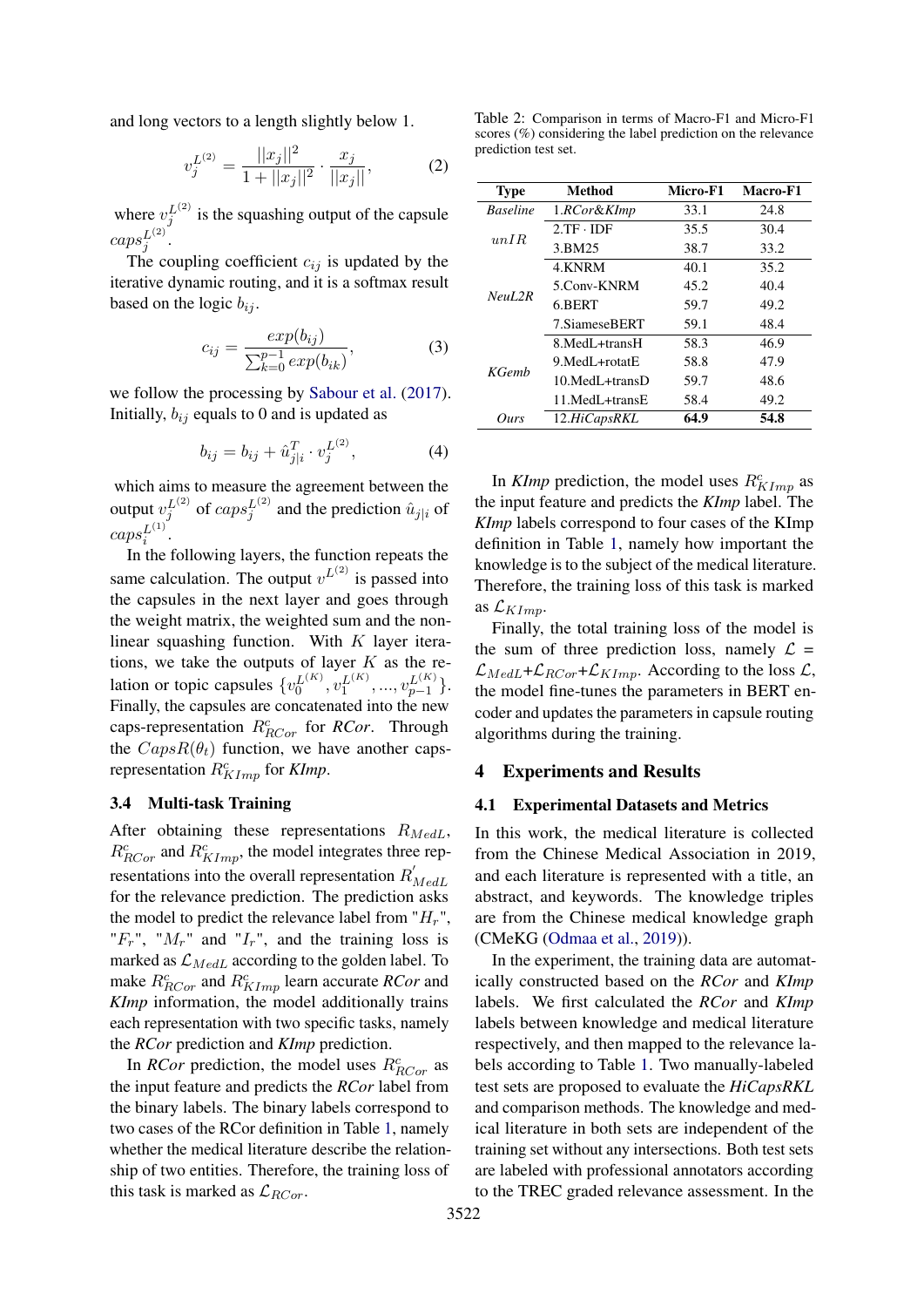and long vectors to a length slightly below 1.

<span id="page-4-0"></span>
$$
v_j^{L^{(2)}} = \frac{||x_j||^2}{1 + ||x_j||^2} \cdot \frac{x_j}{||x_j||},
$$
 (2)

where  $v_j^{L^{(2)}}$  is the squashing output of the capsule  $caps_j^{L^{(2)}}$  .

The coupling coefficient  $c_{ij}$  is updated by the iterative dynamic routing, and it is a softmax result based on the logic  $b_{ij}$ .

$$
c_{ij} = \frac{exp(b_{ij})}{\sum_{k=0}^{p-1} exp(b_{ik})},
$$
 (3)

we follow the processing by [Sabour et al.](#page-10-0) [\(2017\)](#page-10-0). Initially,  $b_{ij}$  equals to 0 and is updated as

$$
b_{ij} = b_{ij} + \hat{u}_{j|i}^T \cdot v_j^{L^{(2)}}, \tag{4}
$$

which aims to measure the agreement between the output  $v_j^{L^{(2)}}$  of  $caps_j^{L^{(2)}}$  and the prediction  $\hat{u}_{j|i}$  of  $caps_i^{L^{(1)}}$ .

In the following layers, the function repeats the same calculation. The output  $v^{L^{(2)}}$  is passed into the capsules in the next layer and goes through the weight matrix, the weighted sum and the nonlinear squashing function. With  $K$  layer iterations, we take the outputs of layer  $K$  as the relation or topic capsules  $\{v_0^{L(K)}, v_1^{L(K)}, ..., v_{p-1}^{L(K)}\}$ . Finally, the capsules are concatenated into the new caps-representation  $R_{RCor}^c$  for *RCor*. Through the  $CapsR(\theta_t)$  function, we have another capsrepresentation  $R_{KImp}^c$  for *KImp*.

#### 3.4 Multi-task Training

After obtaining these representations  $R_{MedL}$ ,  $R_{RCor}^c$  and  $R_{KImp}^c$ , the model integrates three representations into the overall representation  $R'$ MedL for the relevance prediction. The prediction asks the model to predict the relevance label from " $H_r$ ", " $F_r$ ", " $M_r$ " and " $I_r$ ", and the training loss is marked as  $\mathcal{L}_{MedL}$  according to the golden label. To make  $R_{RCor}^c$  and  $R_{KImp}^c$  learn accurate *RCor* and *KImp* information, the model additionally trains each representation with two specific tasks, namely the *RCor* prediction and *KImp* prediction.

In *RCor* prediction, the model uses  $R_{RCor}^c$  as the input feature and predicts the *RCor* label from the binary labels. The binary labels correspond to two cases of the RCor definition in Table [1,](#page-1-0) namely whether the medical literature describe the relationship of two entities. Therefore, the training loss of this task is marked as  $\mathcal{L}_{RCor}$ .

<span id="page-4-1"></span>Table 2: Comparison in terms of Macro-F1 and Micro-F1 scores (%) considering the label prediction on the relevance prediction test set.

| Type            | Method               | Micro-F1 | Macro-F1 |  |
|-----------------|----------------------|----------|----------|--|
| <b>Baseline</b> | 1.RCor&KImp          | 33.1     | 24.8     |  |
| unIR            | $2.TF \cdot IDF$     | 35.5     | 30.4     |  |
|                 | 3.BM25               | 38.7     | 33.2     |  |
|                 | 4.KNRM               | 40.1     | 35.2     |  |
| NeuL2R          | 5.Conv-KNRM          | 45.2     | 40.4     |  |
|                 | 6.BERT               | 59.7     | 49.2     |  |
|                 | 7.SiameseBERT        | 59.1     | 48.4     |  |
|                 | 8. MedL+transH       | 58.3     | 46.9     |  |
| KGemb           | 9 MedL+rotatE        | 58.8     | 47.9     |  |
|                 | $10$ MedL $+$ transD | 59.7     | 48.6     |  |
|                 | 11 MedL+transE       | 58.4     | 49.2     |  |
| Ours            | 12.HiCapsRKL         | 64.9     | 54.8     |  |

In *KImp* prediction, the model uses  $R_{KImp}^c$  as the input feature and predicts the *KImp* label. The *KImp* labels correspond to four cases of the KImp definition in Table [1,](#page-1-0) namely how important the knowledge is to the subject of the medical literature. Therefore, the training loss of this task is marked as  $\mathcal{L}_{KImp}$ .

Finally, the total training loss of the model is the sum of three prediction loss, namely  $\mathcal{L}$  =  $\mathcal{L}_{MedL}+\mathcal{L}_{RCor}+\mathcal{L}_{KImp}$ . According to the loss  $\mathcal{L},$ the model fine-tunes the parameters in BERT encoder and updates the parameters in capsule routing algorithms during the training.

### 4 Experiments and Results

# 4.1 Experimental Datasets and Metrics

In this work, the medical literature is collected from the Chinese Medical Association in 2019, and each literature is represented with a title, an abstract, and keywords. The knowledge triples are from the Chinese medical knowledge graph (CMeKG [\(Odmaa et al.,](#page-10-12) [2019\)](#page-10-12)).

In the experiment, the training data are automatically constructed based on the *RCor* and *KImp* labels. We first calculated the *RCor* and *KImp* labels between knowledge and medical literature respectively, and then mapped to the relevance labels according to Table [1.](#page-1-0) Two manually-labeled test sets are proposed to evaluate the *HiCapsRKL* and comparison methods. The knowledge and medical literature in both sets are independent of the training set without any intersections. Both test sets are labeled with professional annotators according to the TREC graded relevance assessment. In the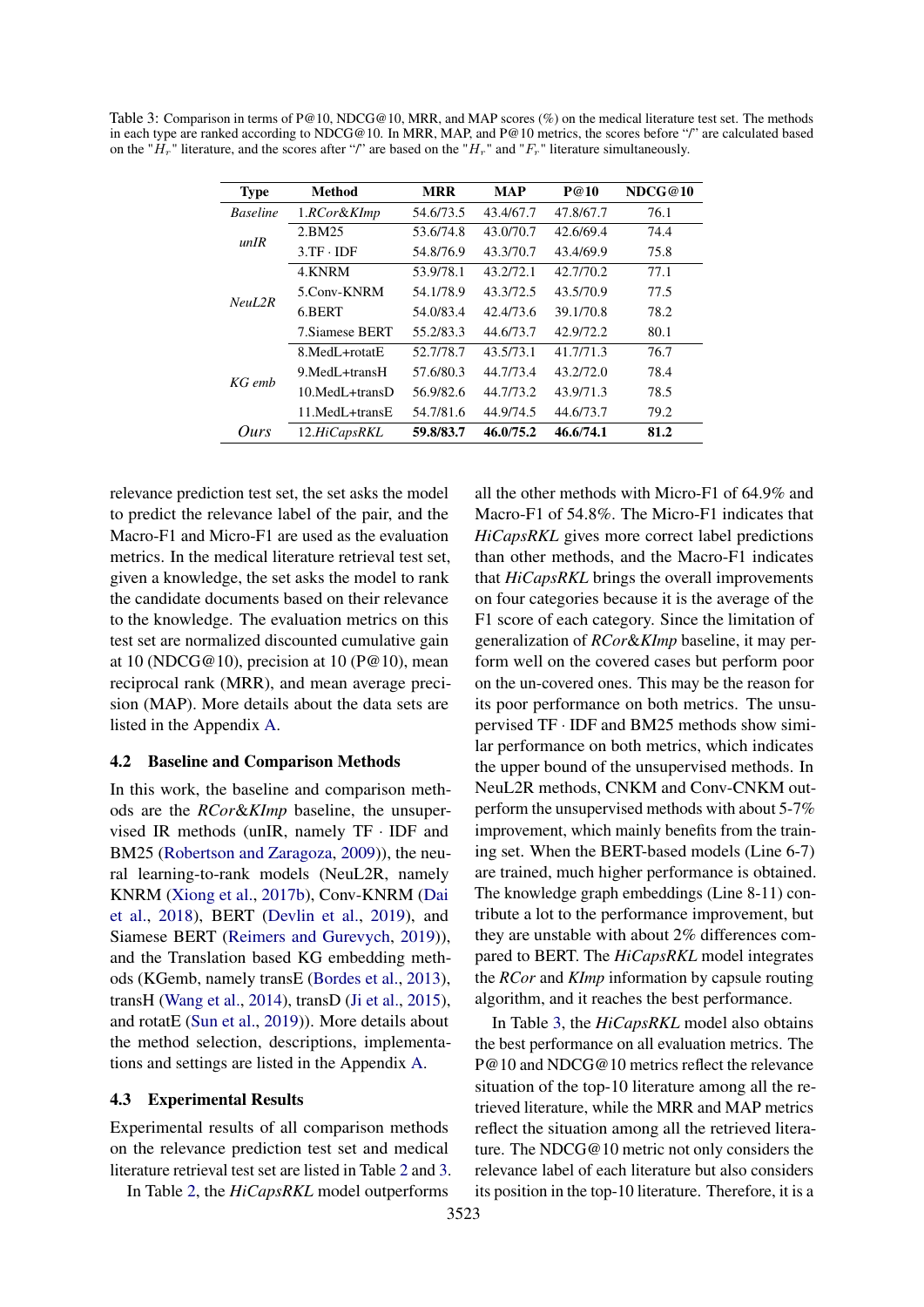<span id="page-5-0"></span>Table 3: Comparison in terms of P@10, NDCG@10, MRR, and MAP scores (%) on the medical literature test set. The methods in each type are ranked according to NDCG@10. In MRR, MAP, and P@10 metrics, the scores before "/" are calculated based on the " $\hat{H}_r$ " literature, and the scores after "/" are based on the " $H_r$ " and " $F_r$ " literature simultaneously.

| <b>Type</b>     | <b>Method</b>                |           | <b>MAP</b> | P@10      | NDCG@10 |  |
|-----------------|------------------------------|-----------|------------|-----------|---------|--|
| <b>Baseline</b> | 1.RCor&KImp                  | 54.6/73.5 | 43.4/67.7  | 47.8/67.7 | 76.1    |  |
| unIR            | 2.BM25                       | 53.6/74.8 | 43.0/70.7  | 42.6/69.4 | 74.4    |  |
|                 | $3.TF \cdot IDF$             | 54.8/76.9 | 43.3/70.7  | 43.4/69.9 | 75.8    |  |
|                 | 4.KNRM                       | 53.9/78.1 | 43.2/72.1  | 42.7/70.2 | 77.1    |  |
| NeuL2R          | 5.Conv-KNRM                  | 54.1/78.9 | 43.3/72.5  | 43.5/70.9 | 77.5    |  |
|                 | 6.BERT                       | 54.0/83.4 | 42.4/73.6  | 39.1/70.8 | 78.2    |  |
|                 | 7. Siamese BERT              | 55.2/83.3 | 44.6/73.7  | 42.9/72.2 | 80.1    |  |
|                 | 8. MedL+rotatE               | 52.7/78.7 | 43.5/73.1  | 41.7/71.3 | 76.7    |  |
| $KG$ emb        | 9. MedL <sub>+trans</sub> H  | 57.6/80.3 | 44.7/73.4  | 43.2/72.0 | 78.4    |  |
|                 | $10.MedL + transD$           | 56.9/82.6 | 44.7/73.2  | 43.9/71.3 | 78.5    |  |
|                 | 11. MedL <sub>+trans</sub> E | 54.7/81.6 | 44.9/74.5  | 44.6/73.7 | 79.2    |  |
| Ours            | 12.HiCapsRKL                 | 59.8/83.7 | 46.0/75.2  | 46.6/74.1 | 81.2    |  |

relevance prediction test set, the set asks the model to predict the relevance label of the pair, and the Macro-F1 and Micro-F1 are used as the evaluation metrics. In the medical literature retrieval test set, given a knowledge, the set asks the model to rank the candidate documents based on their relevance to the knowledge. The evaluation metrics on this test set are normalized discounted cumulative gain at 10 (NDCG@10), precision at 10 ( $P@10$ ), mean reciprocal rank (MRR), and mean average precision (MAP). More details about the data sets are listed in the Appendix [A.](#page-12-1)

#### 4.2 Baseline and Comparison Methods

In this work, the baseline and comparison methods are the *RCor*&*KImp* baseline, the unsupervised IR methods (unIR, namely TF · IDF and BM25 [\(Robertson and Zaragoza,](#page-10-13) [2009\)](#page-10-13)), the neural learning-to-rank models (NeuL2R, namely KNRM [\(Xiong et al.,](#page-10-3) [2017b\)](#page-10-3), Conv-KNRM [\(Dai](#page-8-1) [et al.,](#page-8-1) [2018\)](#page-8-1), BERT [\(Devlin et al.,](#page-8-0) [2019\)](#page-8-0), and Siamese BERT [\(Reimers and Gurevych,](#page-10-14) [2019\)](#page-10-14)), and the Translation based KG embedding methods (KGemb, namely transE [\(Bordes et al.,](#page-8-6) [2013\)](#page-8-6), transH [\(Wang et al.,](#page-10-15) [2014\)](#page-10-15), transD [\(Ji et al.,](#page-9-13) [2015\)](#page-9-13), and rotatE [\(Sun et al.,](#page-10-16) [2019\)](#page-10-16)). More details about the method selection, descriptions, implementations and settings are listed in the Appendix [A.](#page-12-1)

#### 4.3 Experimental Results

Experimental results of all comparison methods on the relevance prediction test set and medical literature retrieval test set are listed in Table [2](#page-4-1) and [3.](#page-5-0)

In Table [2,](#page-4-1) the *HiCapsRKL* model outperforms

all the other methods with Micro-F1 of 64.9% and Macro-F1 of 54.8%. The Micro-F1 indicates that *HiCapsRKL* gives more correct label predictions than other methods, and the Macro-F1 indicates that *HiCapsRKL* brings the overall improvements on four categories because it is the average of the F1 score of each category. Since the limitation of generalization of *RCor*&*KImp* baseline, it may perform well on the covered cases but perform poor on the un-covered ones. This may be the reason for its poor performance on both metrics. The unsupervised TF · IDF and BM25 methods show similar performance on both metrics, which indicates the upper bound of the unsupervised methods. In NeuL2R methods, CNKM and Conv-CNKM outperform the unsupervised methods with about 5-7% improvement, which mainly benefits from the training set. When the BERT-based models (Line 6-7) are trained, much higher performance is obtained. The knowledge graph embeddings (Line 8-11) contribute a lot to the performance improvement, but they are unstable with about 2% differences compared to BERT. The *HiCapsRKL* model integrates the *RCor* and *KImp* information by capsule routing algorithm, and it reaches the best performance.

In Table [3,](#page-5-0) the *HiCapsRKL* model also obtains the best performance on all evaluation metrics. The P@10 and NDCG@10 metrics reflect the relevance situation of the top-10 literature among all the retrieved literature, while the MRR and MAP metrics reflect the situation among all the retrieved literature. The NDCG@10 metric not only considers the relevance label of each literature but also considers its position in the top-10 literature. Therefore, it is a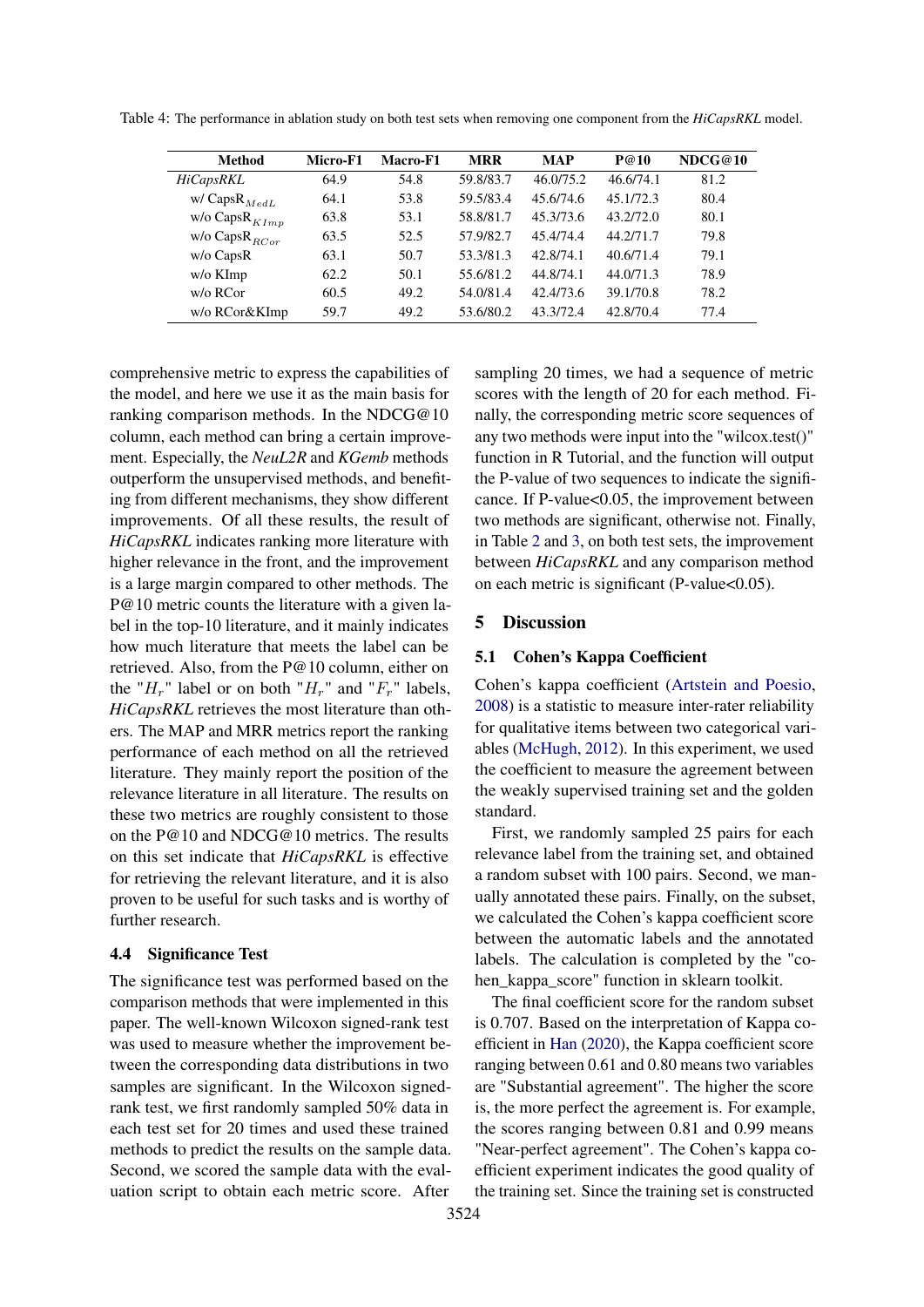| <b>Method</b>       | Micro-F1 | Macro-F1 | <b>MRR</b> | <b>MAP</b> | P@10      | NDCG@10 |
|---------------------|----------|----------|------------|------------|-----------|---------|
| <b>HiCapsRKL</b>    | 64.9     | 54.8     | 59.8/83.7  | 46.0/75.2  | 46.6/74.1 | 81.2    |
| w/ Caps $R_{MedL}$  | 64.1     | 53.8     | 59.5/83.4  | 45.6/74.6  | 45.1/72.3 | 80.4    |
| w/o Caps $R_{KImp}$ | 63.8     | 53.1     | 58.8/81.7  | 45.3/73.6  | 43.2/72.0 | 80.1    |
| w/o Caps $R_{RCor}$ | 63.5     | 52.5     | 57.9/82.7  | 45.4/74.4  | 44.2/71.7 | 79.8    |
| $w/o$ CapsR         | 63.1     | 50.7     | 53.3/81.3  | 42.8/74.1  | 40.6/71.4 | 79.1    |
| w/o KImp            | 62.2     | 50.1     | 55.6/81.2  | 44.8/74.1  | 44.0/71.3 | 78.9    |
| w/o RCor            | 60.5     | 49.2     | 54.0/81.4  | 42.4/73.6  | 39.1/70.8 | 78.2    |
| w/o RCor&KImp       | 59.7     | 49.2     | 53.6/80.2  | 43.3/72.4  | 42.8/70.4 | 77.4    |

<span id="page-6-0"></span>Table 4: The performance in ablation study on both test sets when removing one component from the *HiCapsRKL* model.

comprehensive metric to express the capabilities of the model, and here we use it as the main basis for ranking comparison methods. In the NDCG@10 column, each method can bring a certain improvement. Especially, the *NeuL2R* and *KGemb* methods outperform the unsupervised methods, and benefiting from different mechanisms, they show different improvements. Of all these results, the result of *HiCapsRKL* indicates ranking more literature with higher relevance in the front, and the improvement is a large margin compared to other methods. The P@10 metric counts the literature with a given label in the top-10 literature, and it mainly indicates how much literature that meets the label can be retrieved. Also, from the P@10 column, either on the " $H_r$ " label or on both " $H_r$ " and " $F_r$ " labels, *HiCapsRKL* retrieves the most literature than others. The MAP and MRR metrics report the ranking performance of each method on all the retrieved literature. They mainly report the position of the relevance literature in all literature. The results on these two metrics are roughly consistent to those on the P@10 and NDCG@10 metrics. The results on this set indicate that *HiCapsRKL* is effective for retrieving the relevant literature, and it is also proven to be useful for such tasks and is worthy of further research.

### 4.4 Significance Test

The significance test was performed based on the comparison methods that were implemented in this paper. The well-known Wilcoxon signed-rank test was used to measure whether the improvement between the corresponding data distributions in two samples are significant. In the Wilcoxon signedrank test, we first randomly sampled 50% data in each test set for 20 times and used these trained methods to predict the results on the sample data. Second, we scored the sample data with the evaluation script to obtain each metric score. After

sampling 20 times, we had a sequence of metric scores with the length of 20 for each method. Finally, the corresponding metric score sequences of any two methods were input into the "wilcox.test()" function in R Tutorial, and the function will output the P-value of two sequences to indicate the significance. If P-value<0.05, the improvement between two methods are significant, otherwise not. Finally, in Table [2](#page-4-1) and [3,](#page-5-0) on both test sets, the improvement between *HiCapsRKL* and any comparison method on each metric is significant (P-value<0.05).

### 5 Discussion

#### <span id="page-6-1"></span>5.1 Cohen's Kappa Coefficient

Cohen's kappa coefficient [\(Artstein and Poesio,](#page-8-7) [2008\)](#page-8-7) is a statistic to measure inter-rater reliability for qualitative items between two categorical variables [\(McHugh,](#page-9-14) [2012\)](#page-9-14). In this experiment, we used the coefficient to measure the agreement between the weakly supervised training set and the golden standard.

First, we randomly sampled 25 pairs for each relevance label from the training set, and obtained a random subset with 100 pairs. Second, we manually annotated these pairs. Finally, on the subset, we calculated the Cohen's kappa coefficient score between the automatic labels and the annotated labels. The calculation is completed by the "cohen\_kappa\_score" function in sklearn toolkit.

The final coefficient score for the random subset is 0.707. Based on the interpretation of Kappa coefficient in [Han](#page-9-15) [\(2020\)](#page-9-15), the Kappa coefficient score ranging between 0.61 and 0.80 means two variables are "Substantial agreement". The higher the score is, the more perfect the agreement is. For example, the scores ranging between 0.81 and 0.99 means "Near-perfect agreement". The Cohen's kappa coefficient experiment indicates the good quality of the training set. Since the training set is constructed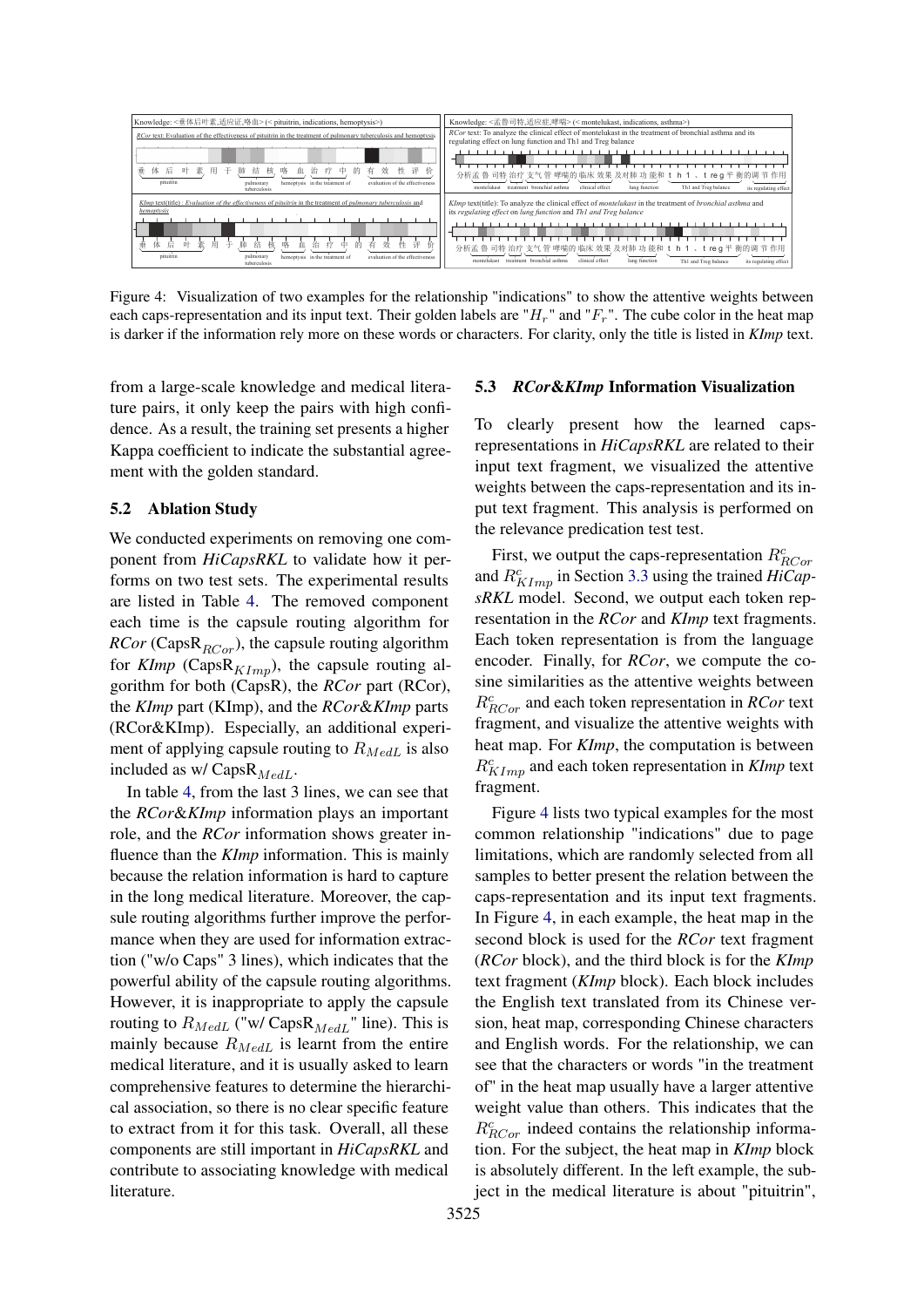<span id="page-7-0"></span>

Figure 4: Visualization of two examples for the relationship "indications" to show the attentive weights between each caps-representation and its input text. Their golden labels are " $H_r$ " and " $F_r$ ". The cube color in the heat map is darker if the information rely more on these words or characters. For clarity, only the title is listed in *KImp* text.

from a large-scale knowledge and medical literature pairs, it only keep the pairs with high confidence. As a result, the training set presents a higher Kappa coefficient to indicate the substantial agreement with the golden standard.

# 5.2 Ablation Study

We conducted experiments on removing one component from *HiCapsRKL* to validate how it performs on two test sets. The experimental results are listed in Table [4.](#page-6-0) The removed component each time is the capsule routing algorithm for *RCor* (Caps $R_{RCor}$ ), the capsule routing algorithm for  $KImp$  (Caps $R_{KImp}$ ), the capsule routing algorithm for both (CapsR), the *RCor* part (RCor), the *KImp* part (KImp), and the *RCor*&*KImp* parts (RCor&KImp). Especially, an additional experiment of applying capsule routing to  $R_{MedL}$  is also included as w/ Caps $R_{MedL}$ .

In table [4,](#page-6-0) from the last 3 lines, we can see that the *RCor*&*KImp* information plays an important role, and the *RCor* information shows greater influence than the *KImp* information. This is mainly because the relation information is hard to capture in the long medical literature. Moreover, the capsule routing algorithms further improve the performance when they are used for information extraction ("w/o Caps" 3 lines), which indicates that the powerful ability of the capsule routing algorithms. However, it is inappropriate to apply the capsule routing to  $R_{MedL}$  ("w/ Caps $R_{MedL}$ " line). This is mainly because  $R_{MedL}$  is learnt from the entire medical literature, and it is usually asked to learn comprehensive features to determine the hierarchical association, so there is no clear specific feature to extract from it for this task. Overall, all these components are still important in *HiCapsRKL* and contribute to associating knowledge with medical literature.

#### 5.3 *RCor*&*KImp* Information Visualization

To clearly present how the learned capsrepresentations in *HiCapsRKL* are related to their input text fragment, we visualized the attentive weights between the caps-representation and its input text fragment. This analysis is performed on the relevance predication test test.

First, we output the caps-representation  $R_{RCor}^c$ and  $R_{KImp}^c$  in Section [3.3](#page-3-1) using the trained  $HiCap$ *sRKL* model. Second, we output each token representation in the *RCor* and *KImp* text fragments. Each token representation is from the language encoder. Finally, for *RCor*, we compute the cosine similarities as the attentive weights between  $R_{RCor}^c$  and each token representation in *RCor* text fragment, and visualize the attentive weights with heat map. For *KImp*, the computation is between  $R_{KImp}^{c}$  and each token representation in *KImp* text fragment.

Figure [4](#page-7-0) lists two typical examples for the most common relationship "indications" due to page limitations, which are randomly selected from all samples to better present the relation between the caps-representation and its input text fragments. In Figure [4,](#page-7-0) in each example, the heat map in the second block is used for the *RCor* text fragment (*RCor* block), and the third block is for the *KImp* text fragment (*KImp* block). Each block includes the English text translated from its Chinese version, heat map, corresponding Chinese characters and English words. For the relationship, we can see that the characters or words "in the treatment of" in the heat map usually have a larger attentive weight value than others. This indicates that the  $R_{RCor}^{c}$  indeed contains the relationship information. For the subject, the heat map in *KImp* block is absolutely different. In the left example, the subject in the medical literature is about "pituitrin",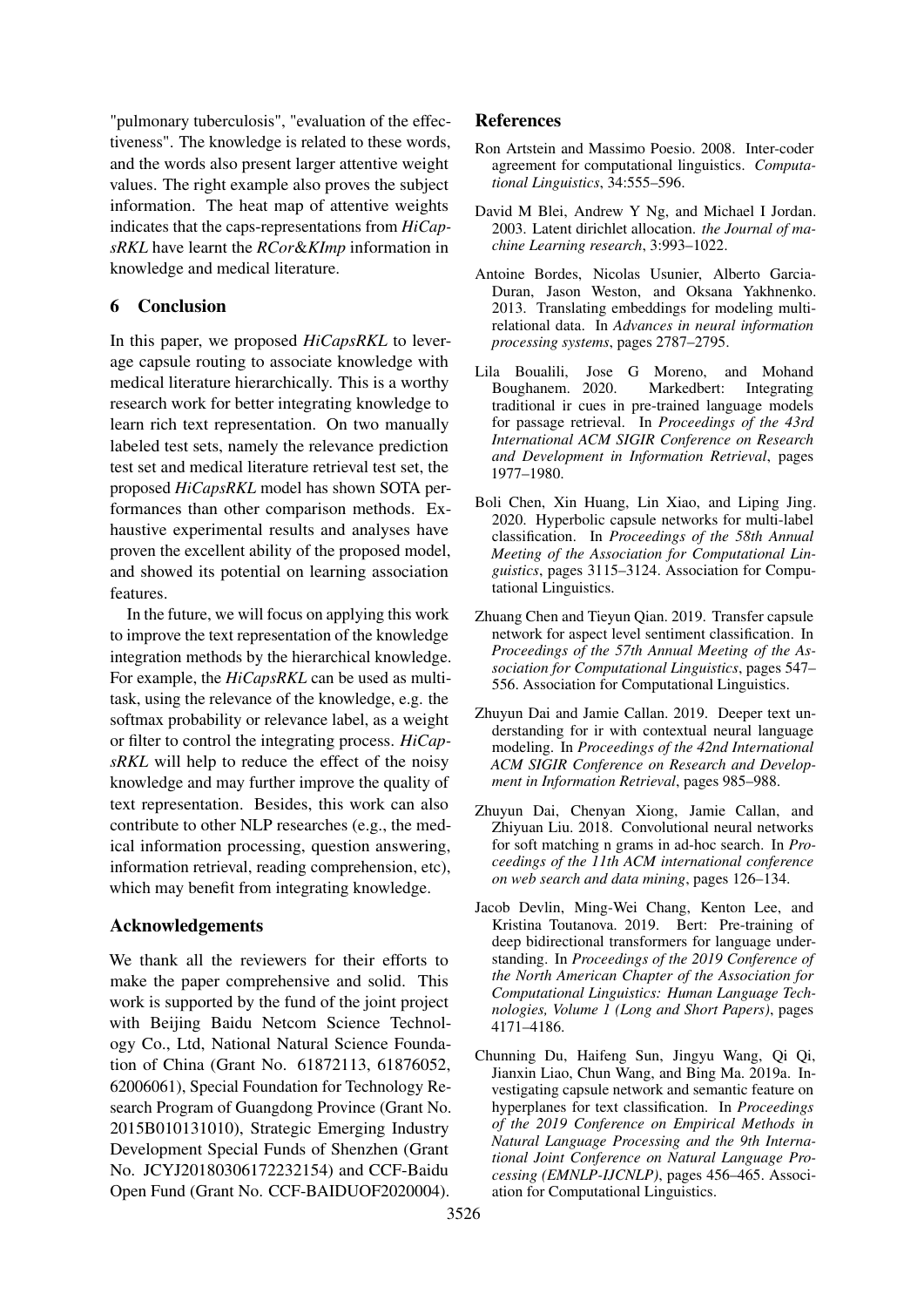"pulmonary tuberculosis", "evaluation of the effectiveness". The knowledge is related to these words, and the words also present larger attentive weight values. The right example also proves the subject information. The heat map of attentive weights indicates that the caps-representations from *HiCapsRKL* have learnt the *RCor*&*KImp* information in knowledge and medical literature.

# 6 Conclusion

In this paper, we proposed *HiCapsRKL* to leverage capsule routing to associate knowledge with medical literature hierarchically. This is a worthy research work for better integrating knowledge to learn rich text representation. On two manually labeled test sets, namely the relevance prediction test set and medical literature retrieval test set, the proposed *HiCapsRKL* model has shown SOTA performances than other comparison methods. Exhaustive experimental results and analyses have proven the excellent ability of the proposed model, and showed its potential on learning association features.

In the future, we will focus on applying this work to improve the text representation of the knowledge integration methods by the hierarchical knowledge. For example, the *HiCapsRKL* can be used as multitask, using the relevance of the knowledge, e.g. the softmax probability or relevance label, as a weight or filter to control the integrating process. *HiCapsRKL* will help to reduce the effect of the noisy knowledge and may further improve the quality of text representation. Besides, this work can also contribute to other NLP researches (e.g., the medical information processing, question answering, information retrieval, reading comprehension, etc), which may benefit from integrating knowledge.

# Acknowledgements

We thank all the reviewers for their efforts to make the paper comprehensive and solid. This work is supported by the fund of the joint project with Beijing Baidu Netcom Science Technology Co., Ltd, National Natural Science Foundation of China (Grant No. 61872113, 61876052, 62006061), Special Foundation for Technology Research Program of Guangdong Province (Grant No. 2015B010131010), Strategic Emerging Industry Development Special Funds of Shenzhen (Grant No. JCYJ20180306172232154) and CCF-Baidu Open Fund (Grant No. CCF-BAIDUOF2020004).

# References

- <span id="page-8-7"></span>Ron Artstein and Massimo Poesio. 2008. Inter-coder agreement for computational linguistics. *Computational Linguistics*, 34:555–596.
- <span id="page-8-8"></span>David M Blei, Andrew Y Ng, and Michael I Jordan. 2003. Latent dirichlet allocation. *the Journal of machine Learning research*, 3:993–1022.
- <span id="page-8-6"></span>Antoine Bordes, Nicolas Usunier, Alberto Garcia-Duran, Jason Weston, and Oksana Yakhnenko. 2013. Translating embeddings for modeling multirelational data. In *Advances in neural information processing systems*, pages 2787–2795.
- <span id="page-8-9"></span>Lila Boualili, Jose G Moreno, and Mohand Boughanem. 2020. Markedbert: Integrating traditional ir cues in pre-trained language models for passage retrieval. In *Proceedings of the 43rd International ACM SIGIR Conference on Research and Development in Information Retrieval*, pages 1977–1980.
- <span id="page-8-4"></span>Boli Chen, Xin Huang, Lin Xiao, and Liping Jing. 2020. Hyperbolic capsule networks for multi-label classification. In *Proceedings of the 58th Annual Meeting of the Association for Computational Linguistics*, pages 3115–3124. Association for Computational Linguistics.
- <span id="page-8-3"></span>Zhuang Chen and Tieyun Qian. 2019. Transfer capsule network for aspect level sentiment classification. In *Proceedings of the 57th Annual Meeting of the Association for Computational Linguistics*, pages 547– 556. Association for Computational Linguistics.
- <span id="page-8-2"></span>Zhuyun Dai and Jamie Callan. 2019. Deeper text understanding for ir with contextual neural language modeling. In *Proceedings of the 42nd International ACM SIGIR Conference on Research and Development in Information Retrieval*, pages 985–988.
- <span id="page-8-1"></span>Zhuyun Dai, Chenyan Xiong, Jamie Callan, and Zhiyuan Liu. 2018. Convolutional neural networks for soft matching n grams in ad-hoc search. In *Proceedings of the 11th ACM international conference on web search and data mining*, pages 126–134.
- <span id="page-8-0"></span>Jacob Devlin, Ming-Wei Chang, Kenton Lee, and Kristina Toutanova. 2019. Bert: Pre-training of deep bidirectional transformers for language understanding. In *Proceedings of the 2019 Conference of the North American Chapter of the Association for Computational Linguistics: Human Language Technologies, Volume 1 (Long and Short Papers)*, pages 4171–4186.
- <span id="page-8-5"></span>Chunning Du, Haifeng Sun, Jingyu Wang, Qi Qi, Jianxin Liao, Chun Wang, and Bing Ma. 2019a. Investigating capsule network and semantic feature on hyperplanes for text classification. In *Proceedings of the 2019 Conference on Empirical Methods in Natural Language Processing and the 9th International Joint Conference on Natural Language Processing (EMNLP-IJCNLP)*, pages 456–465. Association for Computational Linguistics.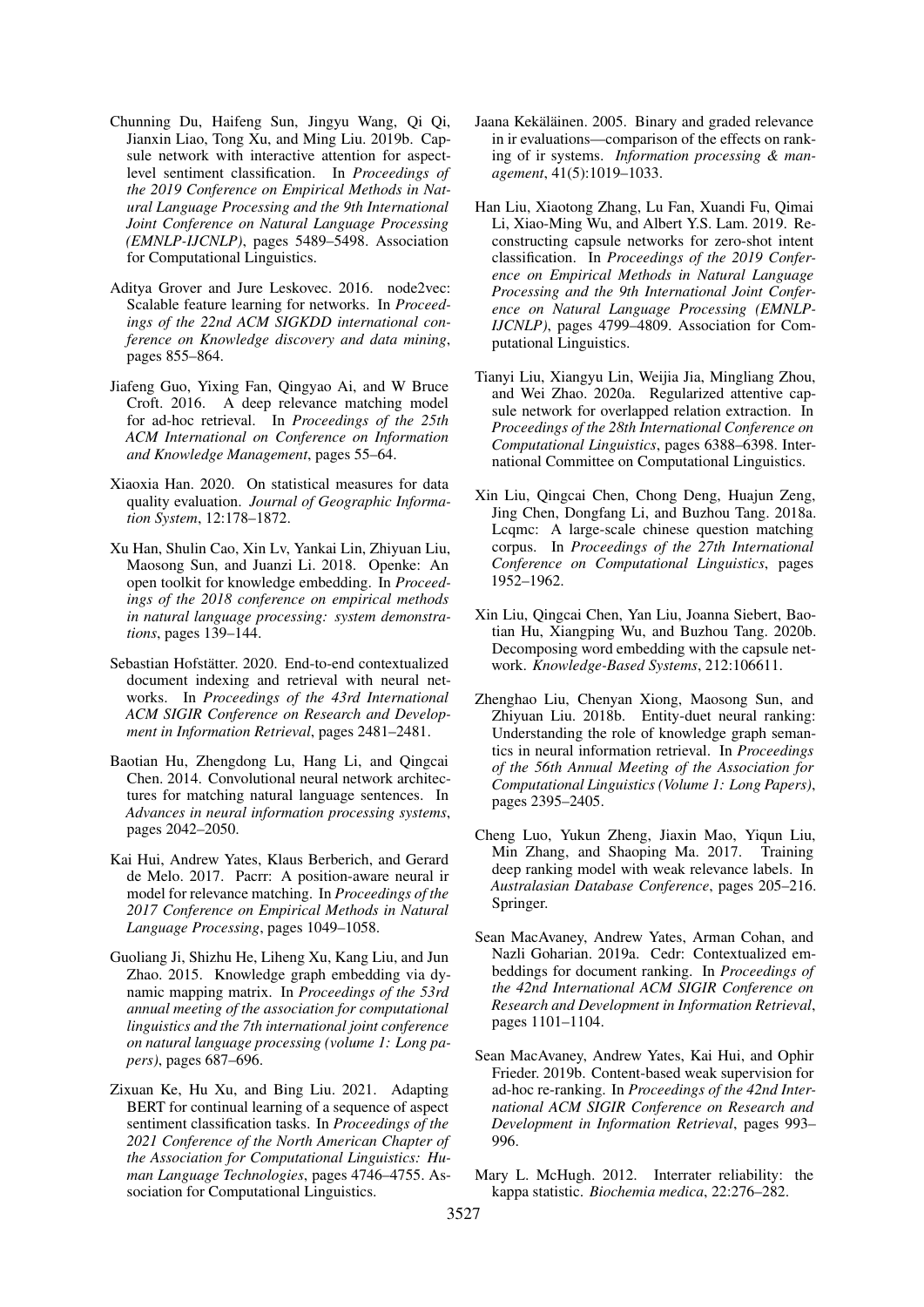- <span id="page-9-9"></span>Chunning Du, Haifeng Sun, Jingyu Wang, Qi Qi, Jianxin Liao, Tong Xu, and Ming Liu. 2019b. Capsule network with interactive attention for aspectlevel sentiment classification. In *Proceedings of the 2019 Conference on Empirical Methods in Natural Language Processing and the 9th International Joint Conference on Natural Language Processing (EMNLP-IJCNLP)*, pages 5489–5498. Association for Computational Linguistics.
- <span id="page-9-19"></span>Aditya Grover and Jure Leskovec. 2016. node2vec: Scalable feature learning for networks. In *Proceedings of the 22nd ACM SIGKDD international conference on Knowledge discovery and data mining*, pages 855–864.
- <span id="page-9-2"></span>Jiafeng Guo, Yixing Fan, Qingyao Ai, and W Bruce Croft. 2016. A deep relevance matching model for ad-hoc retrieval. In *Proceedings of the 25th ACM International on Conference on Information and Knowledge Management*, pages 55–64.
- <span id="page-9-15"></span>Xiaoxia Han. 2020. On statistical measures for data quality evaluation. *Journal of Geographic Information System*, 12:178–1872.
- <span id="page-9-18"></span>Xu Han, Shulin Cao, Xin Lv, Yankai Lin, Zhiyuan Liu, Maosong Sun, and Juanzi Li. 2018. Openke: An open toolkit for knowledge embedding. In *Proceedings of the 2018 conference on empirical methods in natural language processing: system demonstrations*, pages 139–144.
- <span id="page-9-17"></span>Sebastian Hofstätter. 2020. End-to-end contextualized document indexing and retrieval with neural networks. In *Proceedings of the 43rd International ACM SIGIR Conference on Research and Development in Information Retrieval*, pages 2481–2481.
- <span id="page-9-1"></span>Baotian Hu, Zhengdong Lu, Hang Li, and Qingcai Chen. 2014. Convolutional neural network architectures for matching natural language sentences. In *Advances in neural information processing systems*, pages 2042–2050.
- <span id="page-9-3"></span>Kai Hui, Andrew Yates, Klaus Berberich, and Gerard de Melo. 2017. Pacrr: A position-aware neural ir model for relevance matching. In *Proceedings of the 2017 Conference on Empirical Methods in Natural Language Processing*, pages 1049–1058.
- <span id="page-9-13"></span>Guoliang Ji, Shizhu He, Liheng Xu, Kang Liu, and Jun Zhao. 2015. Knowledge graph embedding via dynamic mapping matrix. In *Proceedings of the 53rd annual meeting of the association for computational linguistics and the 7th international joint conference on natural language processing (volume 1: Long papers)*, pages 687–696.
- <span id="page-9-8"></span>Zixuan Ke, Hu Xu, and Bing Liu. 2021. Adapting BERT for continual learning of a sequence of aspect sentiment classification tasks. In *Proceedings of the 2021 Conference of the North American Chapter of the Association for Computational Linguistics: Human Language Technologies*, pages 4746–4755. Association for Computational Linguistics.
- <span id="page-9-0"></span>Jaana Kekäläinen. 2005. Binary and graded relevance in ir evaluations—comparison of the effects on ranking of ir systems. *Information processing & management*, 41(5):1019–1033.
- <span id="page-9-11"></span>Han Liu, Xiaotong Zhang, Lu Fan, Xuandi Fu, Qimai Li, Xiao-Ming Wu, and Albert Y.S. Lam. 2019. Reconstructing capsule networks for zero-shot intent classification. In *Proceedings of the 2019 Conference on Empirical Methods in Natural Language Processing and the 9th International Joint Conference on Natural Language Processing (EMNLP-IJCNLP)*, pages 4799–4809. Association for Computational Linguistics.
- <span id="page-9-10"></span>Tianyi Liu, Xiangyu Lin, Weijia Jia, Mingliang Zhou, and Wei Zhao. 2020a. Regularized attentive capsule network for overlapped relation extraction. In *Proceedings of the 28th International Conference on Computational Linguistics*, pages 6388–6398. International Committee on Computational Linguistics.
- <span id="page-9-16"></span>Xin Liu, Qingcai Chen, Chong Deng, Huajun Zeng, Jing Chen, Dongfang Li, and Buzhou Tang. 2018a. Lcqmc: A large-scale chinese question matching corpus. In *Proceedings of the 27th International Conference on Computational Linguistics*, pages 1952–1962.
- <span id="page-9-12"></span>Xin Liu, Qingcai Chen, Yan Liu, Joanna Siebert, Baotian Hu, Xiangping Wu, and Buzhou Tang. 2020b. Decomposing word embedding with the capsule network. *Knowledge-Based Systems*, 212:106611.
- <span id="page-9-4"></span>Zhenghao Liu, Chenyan Xiong, Maosong Sun, and Zhiyuan Liu. 2018b. Entity-duet neural ranking: Understanding the role of knowledge graph semantics in neural information retrieval. In *Proceedings of the 56th Annual Meeting of the Association for Computational Linguistics (Volume 1: Long Papers)*, pages 2395–2405.
- <span id="page-9-6"></span>Cheng Luo, Yukun Zheng, Jiaxin Mao, Yiqun Liu, Min Zhang, and Shaoping Ma. 2017. Training deep ranking model with weak relevance labels. In *Australasian Database Conference*, pages 205–216. Springer.
- <span id="page-9-5"></span>Sean MacAvaney, Andrew Yates, Arman Cohan, and Nazli Goharian. 2019a. Cedr: Contextualized embeddings for document ranking. In *Proceedings of the 42nd International ACM SIGIR Conference on Research and Development in Information Retrieval*, pages 1101–1104.
- <span id="page-9-7"></span>Sean MacAvaney, Andrew Yates, Kai Hui, and Ophir Frieder. 2019b. Content-based weak supervision for ad-hoc re-ranking. In *Proceedings of the 42nd International ACM SIGIR Conference on Research and Development in Information Retrieval*, pages 993– 996.
- <span id="page-9-14"></span>Mary L. McHugh. 2012. Interrater reliability: the kappa statistic. *Biochemia medica*, 22:276–282.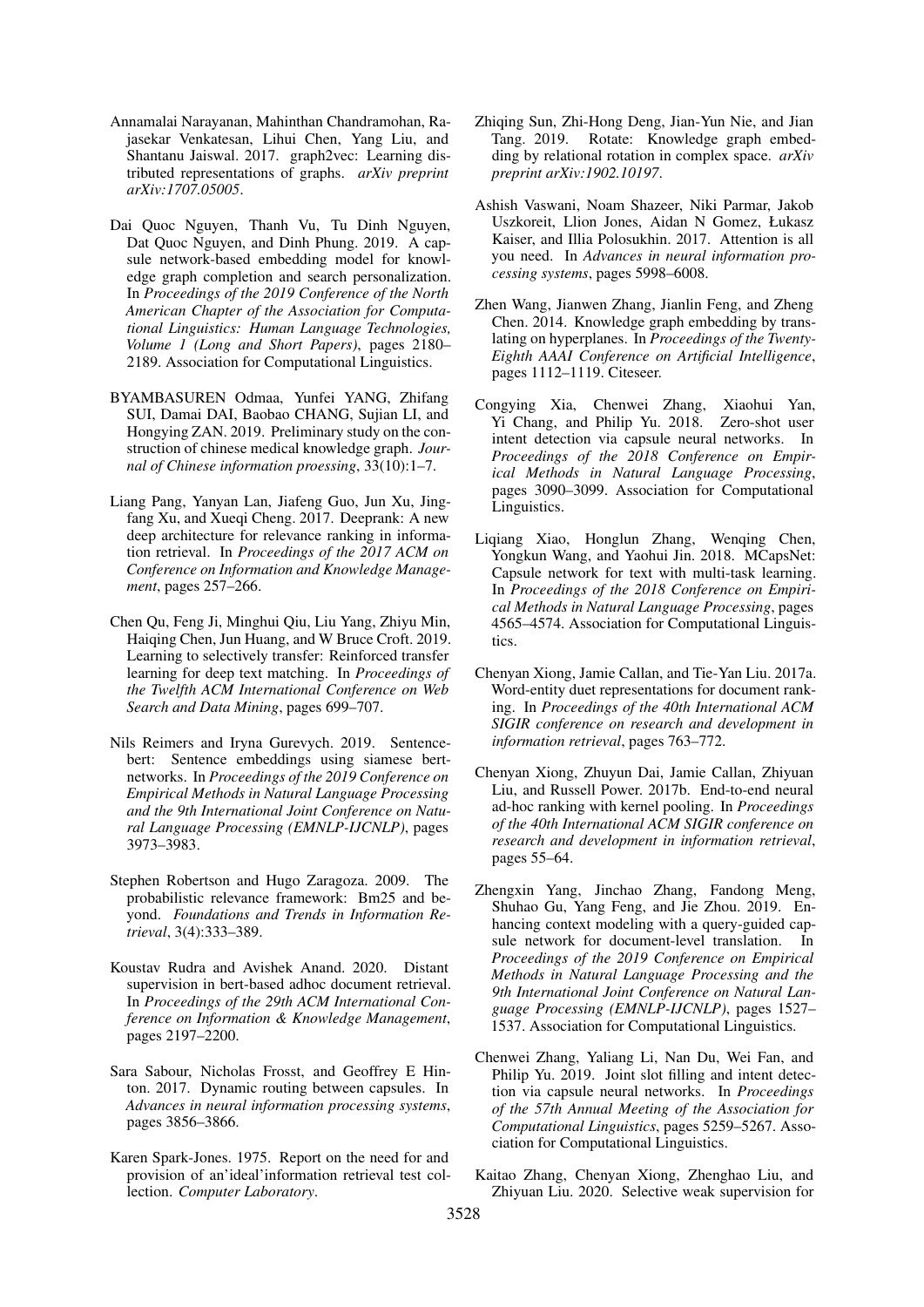- <span id="page-10-19"></span>Annamalai Narayanan, Mahinthan Chandramohan, Rajasekar Venkatesan, Lihui Chen, Yang Liu, and Shantanu Jaiswal. 2017. graph2vec: Learning distributed representations of graphs. *arXiv preprint arXiv:1707.05005*.
- <span id="page-10-6"></span>Dai Quoc Nguyen, Thanh Vu, Tu Dinh Nguyen, Dat Quoc Nguyen, and Dinh Phung. 2019. A capsule network-based embedding model for knowledge graph completion and search personalization. In *Proceedings of the 2019 Conference of the North American Chapter of the Association for Computational Linguistics: Human Language Technologies, Volume 1 (Long and Short Papers)*, pages 2180– 2189. Association for Computational Linguistics.
- <span id="page-10-12"></span>BYAMBASUREN Odmaa, Yunfei YANG, Zhifang SUI, Damai DAI, Baobao CHANG, Sujian LI, and Hongying ZAN. 2019. Preliminary study on the construction of chinese medical knowledge graph. *Journal of Chinese information proessing*, 33(10):1–7.
- <span id="page-10-1"></span>Liang Pang, Yanyan Lan, Jiafeng Guo, Jun Xu, Jingfang Xu, and Xueqi Cheng. 2017. Deeprank: A new deep architecture for relevance ranking in information retrieval. In *Proceedings of the 2017 ACM on Conference on Information and Knowledge Management*, pages 257–266.
- <span id="page-10-4"></span>Chen Qu, Feng Ji, Minghui Qiu, Liu Yang, Zhiyu Min, Haiqing Chen, Jun Huang, and W Bruce Croft. 2019. Learning to selectively transfer: Reinforced transfer learning for deep text matching. In *Proceedings of the Twelfth ACM International Conference on Web Search and Data Mining*, pages 699–707.
- <span id="page-10-14"></span>Nils Reimers and Iryna Gurevych. 2019. Sentencebert: Sentence embeddings using siamese bertnetworks. In *Proceedings of the 2019 Conference on Empirical Methods in Natural Language Processing and the 9th International Joint Conference on Natural Language Processing (EMNLP-IJCNLP)*, pages 3973–3983.
- <span id="page-10-13"></span>Stephen Robertson and Hugo Zaragoza. 2009. The probabilistic relevance framework: Bm25 and beyond. *Foundations and Trends in Information Retrieval*, 3(4):333–389.
- <span id="page-10-18"></span>Koustav Rudra and Avishek Anand. 2020. Distant supervision in bert-based adhoc document retrieval. In *Proceedings of the 29th ACM International Conference on Information & Knowledge Management*, pages 2197–2200.
- <span id="page-10-0"></span>Sara Sabour, Nicholas Frosst, and Geoffrey E Hinton. 2017. Dynamic routing between capsules. In *Advances in neural information processing systems*, pages 3856–3866.
- <span id="page-10-17"></span>Karen Spark-Jones. 1975. Report on the need for and provision of an'ideal'information retrieval test collection. *Computer Laboratory*.
- <span id="page-10-16"></span>Zhiqing Sun, Zhi-Hong Deng, Jian-Yun Nie, and Jian Tang. 2019. Rotate: Knowledge graph embedding by relational rotation in complex space. *arXiv preprint arXiv:1902.10197*.
- <span id="page-10-11"></span>Ashish Vaswani, Noam Shazeer, Niki Parmar, Jakob Uszkoreit, Llion Jones, Aidan N Gomez, Łukasz Kaiser, and Illia Polosukhin. 2017. Attention is all you need. In *Advances in neural information processing systems*, pages 5998–6008.
- <span id="page-10-15"></span>Zhen Wang, Jianwen Zhang, Jianlin Feng, and Zheng Chen. 2014. Knowledge graph embedding by translating on hyperplanes. In *Proceedings of the Twenty-Eighth AAAI Conference on Artificial Intelligence*, pages 1112–1119. Citeseer.
- <span id="page-10-9"></span>Congying Xia, Chenwei Zhang, Xiaohui Yan, Yi Chang, and Philip Yu. 2018. Zero-shot user intent detection via capsule neural networks. In *Proceedings of the 2018 Conference on Empirical Methods in Natural Language Processing*, pages 3090–3099. Association for Computational Linguistics.
- <span id="page-10-7"></span>Liqiang Xiao, Honglun Zhang, Wenqing Chen, Yongkun Wang, and Yaohui Jin. 2018. MCapsNet: Capsule network for text with multi-task learning. In *Proceedings of the 2018 Conference on Empirical Methods in Natural Language Processing*, pages 4565–4574. Association for Computational Linguistics.
- <span id="page-10-2"></span>Chenyan Xiong, Jamie Callan, and Tie-Yan Liu. 2017a. Word-entity duet representations for document ranking. In *Proceedings of the 40th International ACM SIGIR conference on research and development in information retrieval*, pages 763–772.
- <span id="page-10-3"></span>Chenyan Xiong, Zhuyun Dai, Jamie Callan, Zhiyuan Liu, and Russell Power. 2017b. End-to-end neural ad-hoc ranking with kernel pooling. In *Proceedings of the 40th International ACM SIGIR conference on research and development in information retrieval*, pages 55–64.
- <span id="page-10-10"></span>Zhengxin Yang, Jinchao Zhang, Fandong Meng, Shuhao Gu, Yang Feng, and Jie Zhou. 2019. Enhancing context modeling with a query-guided capsule network for document-level translation. In *Proceedings of the 2019 Conference on Empirical Methods in Natural Language Processing and the 9th International Joint Conference on Natural Language Processing (EMNLP-IJCNLP)*, pages 1527– 1537. Association for Computational Linguistics.
- <span id="page-10-8"></span>Chenwei Zhang, Yaliang Li, Nan Du, Wei Fan, and Philip Yu. 2019. Joint slot filling and intent detection via capsule neural networks. In *Proceedings of the 57th Annual Meeting of the Association for Computational Linguistics*, pages 5259–5267. Association for Computational Linguistics.
- <span id="page-10-5"></span>Kaitao Zhang, Chenyan Xiong, Zhenghao Liu, and Zhiyuan Liu. 2020. Selective weak supervision for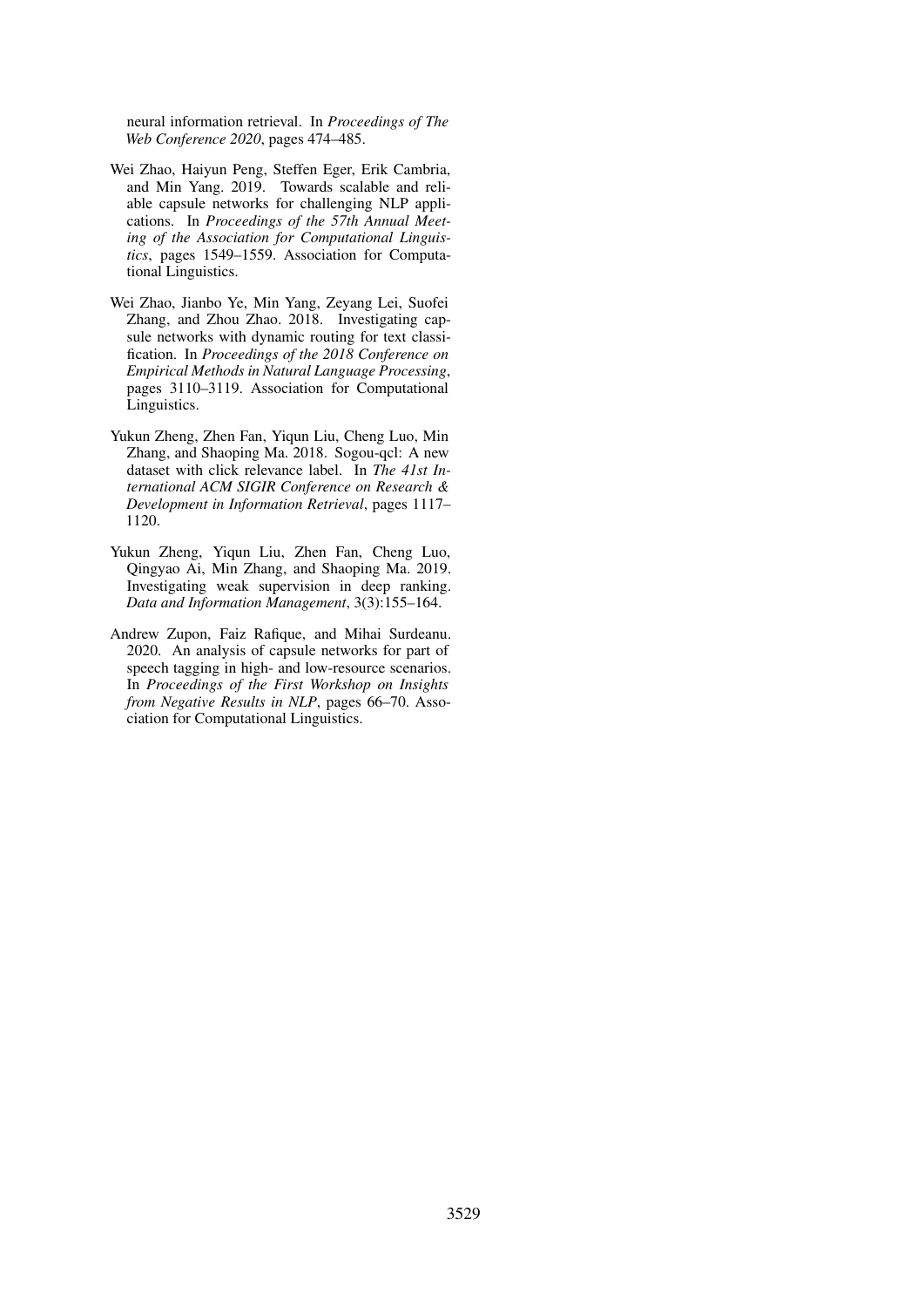neural information retrieval. In *Proceedings of The Web Conference 2020*, pages 474–485.

- <span id="page-11-3"></span>Wei Zhao, Haiyun Peng, Steffen Eger, Erik Cambria, and Min Yang. 2019. Towards scalable and reliable capsule networks for challenging NLP applications. In *Proceedings of the 57th Annual Meeting of the Association for Computational Linguistics*, pages 1549–1559. Association for Computational Linguistics.
- <span id="page-11-4"></span>Wei Zhao, Jianbo Ye, Min Yang, Zeyang Lei, Suofei Zhang, and Zhou Zhao. 2018. Investigating capsule networks with dynamic routing for text classification. In *Proceedings of the 2018 Conference on Empirical Methods in Natural Language Processing*, pages 3110–3119. Association for Computational Linguistics.
- <span id="page-11-1"></span>Yukun Zheng, Zhen Fan, Yiqun Liu, Cheng Luo, Min Zhang, and Shaoping Ma. 2018. Sogou-qcl: A new dataset with click relevance label. In *The 41st International ACM SIGIR Conference on Research & Development in Information Retrieval*, pages 1117– 1120.
- <span id="page-11-0"></span>Yukun Zheng, Yiqun Liu, Zhen Fan, Cheng Luo, Qingyao Ai, Min Zhang, and Shaoping Ma. 2019. Investigating weak supervision in deep ranking. *Data and Information Management*, 3(3):155–164.
- <span id="page-11-2"></span>Andrew Zupon, Faiz Rafique, and Mihai Surdeanu. 2020. An analysis of capsule networks for part of speech tagging in high- and low-resource scenarios. In *Proceedings of the First Workshop on Insights from Negative Results in NLP*, pages 66–70. Association for Computational Linguistics.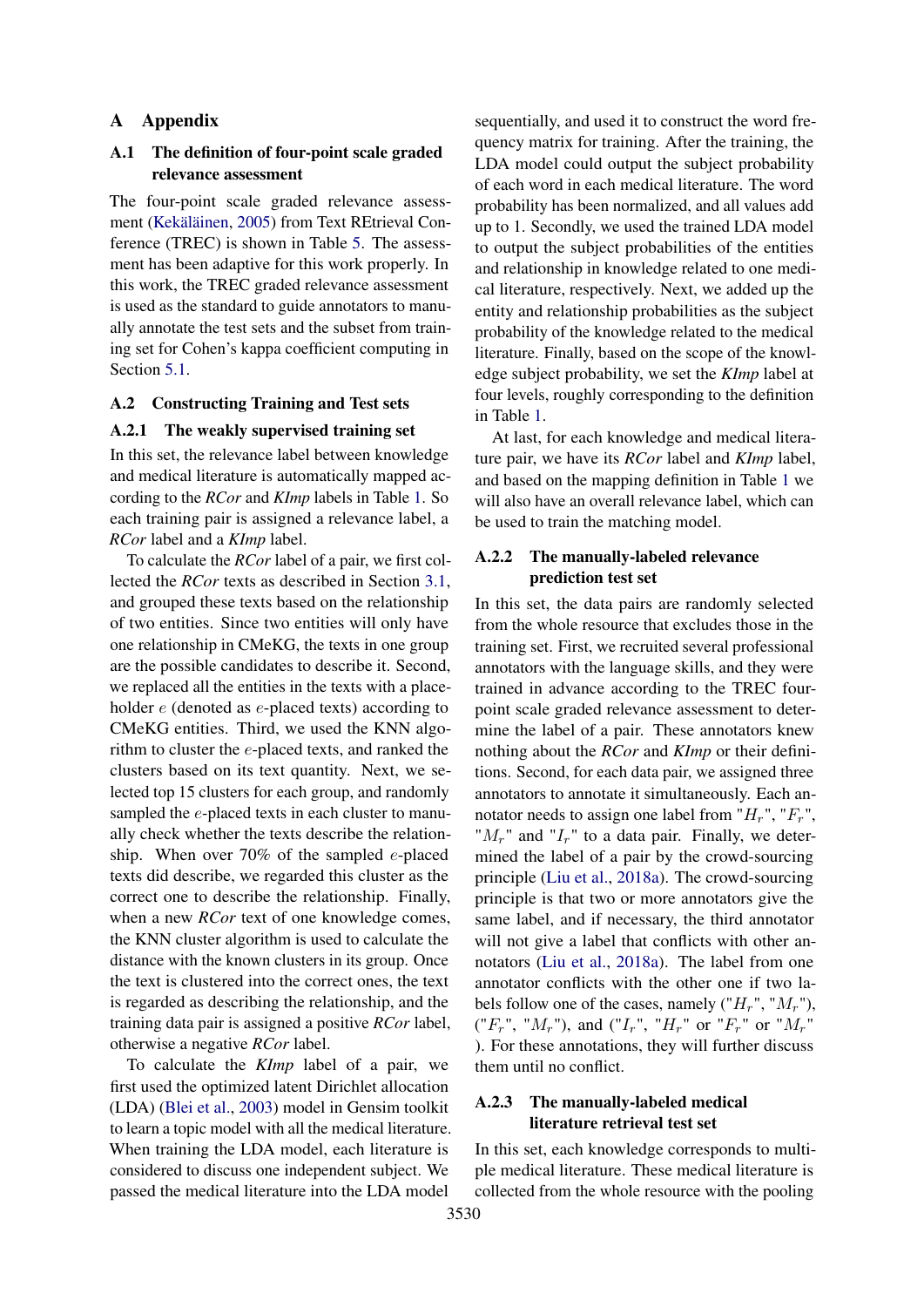# <span id="page-12-1"></span>A Appendix

# <span id="page-12-0"></span>A.1 The definition of four-point scale graded relevance assessment

The four-point scale graded relevance assessment [\(Kekäläinen,](#page-9-0) [2005\)](#page-9-0) from Text REtrieval Conference (TREC) is shown in Table [5.](#page-13-0) The assessment has been adaptive for this work properly. In this work, the TREC graded relevance assessment is used as the standard to guide annotators to manually annotate the test sets and the subset from training set for Cohen's kappa coefficient computing in Section [5.1.](#page-6-1)

# A.2 Constructing Training and Test sets

# <span id="page-12-2"></span>A.2.1 The weakly supervised training set

In this set, the relevance label between knowledge and medical literature is automatically mapped according to the *RCor* and *KImp* labels in Table [1.](#page-1-0) So each training pair is assigned a relevance label, a *RCor* label and a *KImp* label.

To calculate the *RCor* label of a pair, we first collected the *RCor* texts as described in Section [3.1,](#page-2-1) and grouped these texts based on the relationship of two entities. Since two entities will only have one relationship in CMeKG, the texts in one group are the possible candidates to describe it. Second, we replaced all the entities in the texts with a placeholder e (denoted as e-placed texts) according to CMeKG entities. Third, we used the KNN algorithm to cluster the e-placed texts, and ranked the clusters based on its text quantity. Next, we selected top 15 clusters for each group, and randomly sampled the *e*-placed texts in each cluster to manually check whether the texts describe the relationship. When over 70% of the sampled  $e$ -placed texts did describe, we regarded this cluster as the correct one to describe the relationship. Finally, when a new *RCor* text of one knowledge comes, the KNN cluster algorithm is used to calculate the distance with the known clusters in its group. Once the text is clustered into the correct ones, the text is regarded as describing the relationship, and the training data pair is assigned a positive *RCor* label, otherwise a negative *RCor* label.

To calculate the *KImp* label of a pair, we first used the optimized latent Dirichlet allocation (LDA) [\(Blei et al.,](#page-8-8) [2003\)](#page-8-8) model in Gensim toolkit to learn a topic model with all the medical literature. When training the LDA model, each literature is considered to discuss one independent subject. We passed the medical literature into the LDA model

sequentially, and used it to construct the word frequency matrix for training. After the training, the LDA model could output the subject probability of each word in each medical literature. The word probability has been normalized, and all values add up to 1. Secondly, we used the trained LDA model to output the subject probabilities of the entities and relationship in knowledge related to one medical literature, respectively. Next, we added up the entity and relationship probabilities as the subject probability of the knowledge related to the medical literature. Finally, based on the scope of the knowledge subject probability, we set the *KImp* label at four levels, roughly corresponding to the definition in Table [1.](#page-1-0)

At last, for each knowledge and medical literature pair, we have its *RCor* label and *KImp* label, and based on the mapping definition in Table [1](#page-1-0) we will also have an overall relevance label, which can be used to train the matching model.

# A.2.2 The manually-labeled relevance prediction test set

In this set, the data pairs are randomly selected from the whole resource that excludes those in the training set. First, we recruited several professional annotators with the language skills, and they were trained in advance according to the TREC fourpoint scale graded relevance assessment to determine the label of a pair. These annotators knew nothing about the *RCor* and *KImp* or their definitions. Second, for each data pair, we assigned three annotators to annotate it simultaneously. Each annotator needs to assign one label from " $H_r$ ", " $F_r$ ", " $M_r$ " and " $I_r$ " to a data pair. Finally, we determined the label of a pair by the crowd-sourcing principle [\(Liu et al.,](#page-9-16) [2018a\)](#page-9-16). The crowd-sourcing principle is that two or more annotators give the same label, and if necessary, the third annotator will not give a label that conflicts with other annotators [\(Liu et al.,](#page-9-16) [2018a\)](#page-9-16). The label from one annotator conflicts with the other one if two labels follow one of the cases, namely  $("H<sub>r</sub>", "M<sub>r</sub>"),$ (" $F_r$ ", " $M_r$ "), and (" $I_r$ ", " $H_r$ " or " $F_r$ " or " $M_r$ " ). For these annotations, they will further discuss them until no conflict.

# A.2.3 The manually-labeled medical literature retrieval test set

In this set, each knowledge corresponds to multiple medical literature. These medical literature is collected from the whole resource with the pooling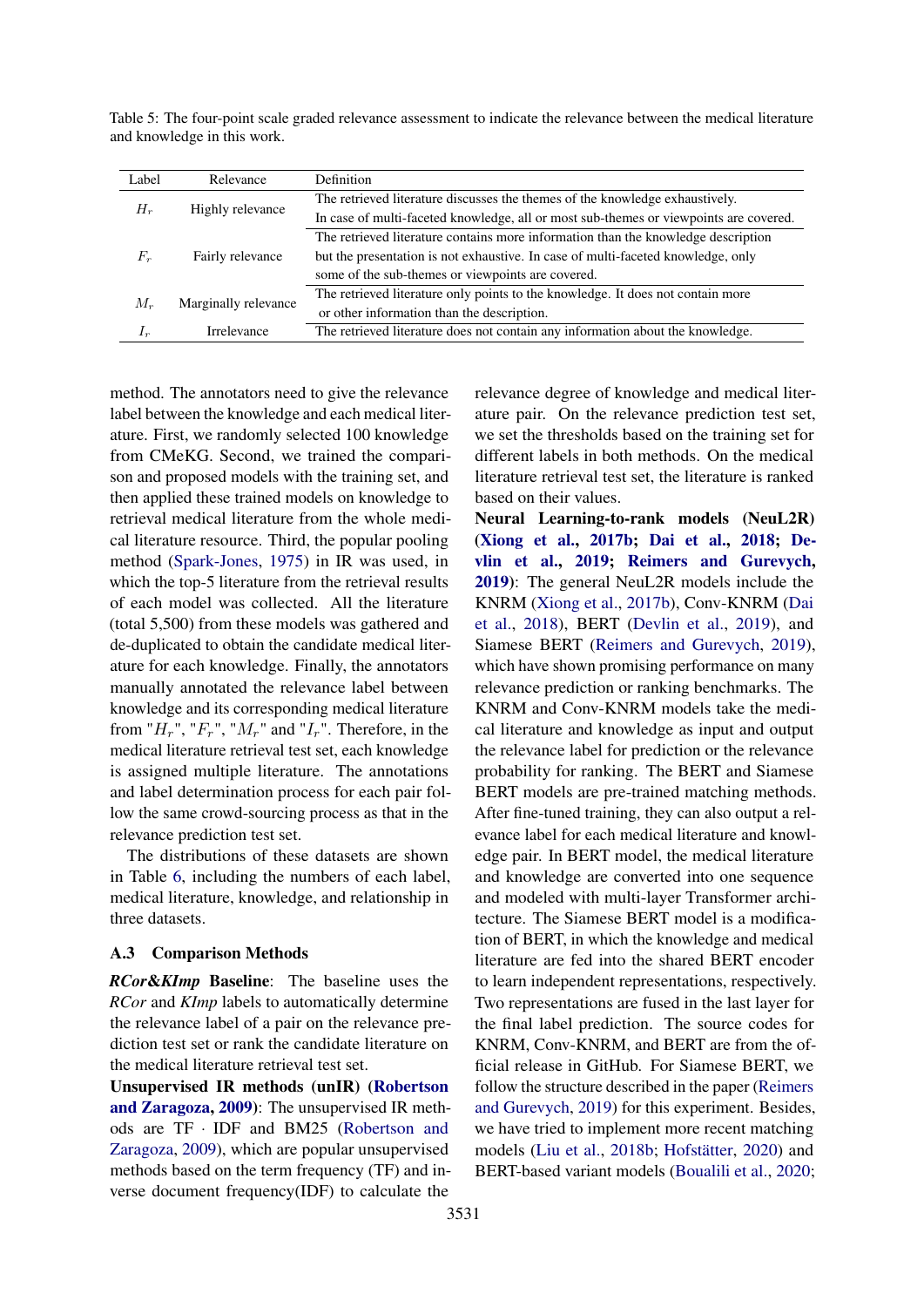<span id="page-13-0"></span>Table 5: The four-point scale graded relevance assessment to indicate the relevance between the medical literature and knowledge in this work.

| Label | Relevance            | <b>Definition</b>                                                                     |
|-------|----------------------|---------------------------------------------------------------------------------------|
| $H_r$ | Highly relevance     | The retrieved literature discusses the themes of the knowledge exhaustively.          |
|       |                      | In case of multi-faceted knowledge, all or most sub-themes or viewpoints are covered. |
|       |                      | The retrieved literature contains more information than the knowledge description     |
| $F_r$ | Fairly relevance     | but the presentation is not exhaustive. In case of multi-faceted knowledge, only      |
|       |                      | some of the sub-themes or viewpoints are covered.                                     |
| $M_r$ | Marginally relevance | The retrieved literature only points to the knowledge. It does not contain more       |
|       |                      | or other information than the description.                                            |
| $I_r$ | <b>Irrelevance</b>   | The retrieved literature does not contain any information about the knowledge.        |
|       |                      |                                                                                       |

method. The annotators need to give the relevance label between the knowledge and each medical literature. First, we randomly selected 100 knowledge from CMeKG. Second, we trained the comparison and proposed models with the training set, and then applied these trained models on knowledge to retrieval medical literature from the whole medical literature resource. Third, the popular pooling method [\(Spark-Jones,](#page-10-17) [1975\)](#page-10-17) in IR was used, in which the top-5 literature from the retrieval results of each model was collected. All the literature (total 5,500) from these models was gathered and de-duplicated to obtain the candidate medical literature for each knowledge. Finally, the annotators manually annotated the relevance label between knowledge and its corresponding medical literature from " $H_r$ ", " $F_r$ ", " $M_r$ " and " $I_r$ ". Therefore, in the medical literature retrieval test set, each knowledge is assigned multiple literature. The annotations and label determination process for each pair follow the same crowd-sourcing process as that in the relevance prediction test set.

The distributions of these datasets are shown in Table [6,](#page-14-0) including the numbers of each label, medical literature, knowledge, and relationship in three datasets.

# A.3 Comparison Methods

*RCor*&*KImp* Baseline: The baseline uses the *RCor* and *KImp* labels to automatically determine the relevance label of a pair on the relevance prediction test set or rank the candidate literature on the medical literature retrieval test set.

Unsupervised IR methods (unIR) [\(Robertson](#page-10-13) [and Zaragoza,](#page-10-13) [2009\)](#page-10-13): The unsupervised IR methods are TF · IDF and BM25 [\(Robertson and](#page-10-13) [Zaragoza,](#page-10-13) [2009\)](#page-10-13), which are popular unsupervised methods based on the term frequency (TF) and inverse document frequency(IDF) to calculate the

relevance degree of knowledge and medical literature pair. On the relevance prediction test set, we set the thresholds based on the training set for different labels in both methods. On the medical literature retrieval test set, the literature is ranked based on their values.

Neural Learning-to-rank models (NeuL2R) [\(Xiong et al.,](#page-10-3) [2017b;](#page-10-3) [Dai et al.,](#page-8-1) [2018;](#page-8-1) [De](#page-8-0)[vlin et al.,](#page-8-0) [2019;](#page-8-0) [Reimers and Gurevych,](#page-10-14) [2019\)](#page-10-14): The general NeuL2R models include the KNRM [\(Xiong et al.,](#page-10-3) [2017b\)](#page-10-3), Conv-KNRM [\(Dai](#page-8-1) [et al.,](#page-8-1) [2018\)](#page-8-1), BERT [\(Devlin et al.,](#page-8-0) [2019\)](#page-8-0), and Siamese BERT [\(Reimers and Gurevych,](#page-10-14) [2019\)](#page-10-14), which have shown promising performance on many relevance prediction or ranking benchmarks. The KNRM and Conv-KNRM models take the medical literature and knowledge as input and output the relevance label for prediction or the relevance probability for ranking. The BERT and Siamese BERT models are pre-trained matching methods. After fine-tuned training, they can also output a relevance label for each medical literature and knowledge pair. In BERT model, the medical literature and knowledge are converted into one sequence and modeled with multi-layer Transformer architecture. The Siamese BERT model is a modification of BERT, in which the knowledge and medical literature are fed into the shared BERT encoder to learn independent representations, respectively. Two representations are fused in the last layer for the final label prediction. The source codes for KNRM, Conv-KNRM, and BERT are from the official release in GitHub. For Siamese BERT, we follow the structure described in the paper [\(Reimers](#page-10-14) [and Gurevych,](#page-10-14) [2019\)](#page-10-14) for this experiment. Besides, we have tried to implement more recent matching models [\(Liu et al.,](#page-9-4) [2018b;](#page-9-4) [Hofstätter,](#page-9-17) [2020\)](#page-9-17) and BERT-based variant models [\(Boualili et al.,](#page-8-9) [2020;](#page-8-9)